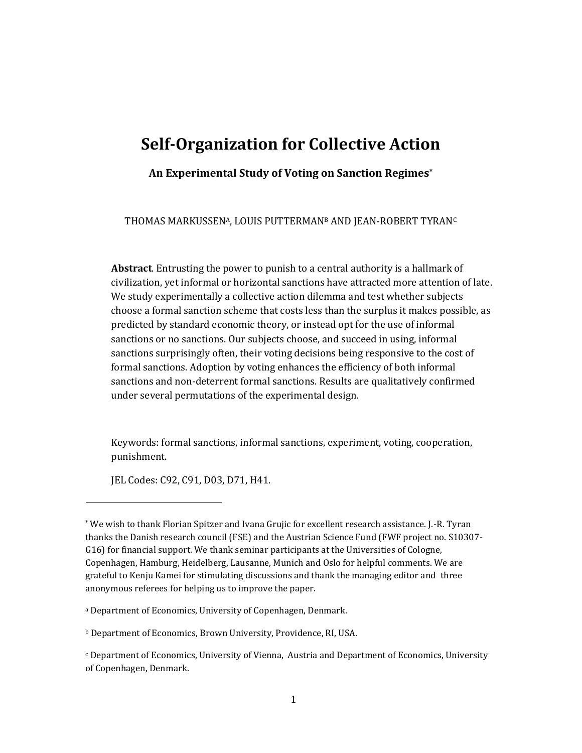# **Self-Organization for Collective Action**

**An Experimental Study of Voting on Sanction Regimes\***

THOMAS MARKUSSENA, LOUIS PUTTERMAN<sup>B</sup> AND JEAN-ROBERT TYRAN<sup>C</sup>

**Abstract**. Entrusting the power to punish to a central authority is a hallmark of civilization, yet informal or horizontal sanctions have attracted more attention of late. We study experimentally a collective action dilemma and test whether subjects choose a formal sanction scheme that costs less than the surplus it makes possible, as predicted by standard economic theory, or instead opt for the use of informal sanctions or no sanctions. Our subjects choose, and succeed in using, informal sanctions surprisingly often, their voting decisions being responsive to the cost of formal sanctions. Adoption by voting enhances the efficiency of both informal sanctions and non-deterrent formal sanctions. Results are qualitatively confirmed under several permutations of the experimental design.

Keywords: formal sanctions, informal sanctions, experiment, voting, cooperation, punishment.

JEL Codes: C92, C91, D03, D71, H41.

l

<sup>a</sup> Department of Economics, University of Copenhagen, Denmark.

<sup>b</sup> Department of Economics, Brown University, Providence, RI, USA.

<sup>\*</sup> We wish to thank Florian Spitzer and Ivana Grujic for excellent research assistance. J.-R. Tyran thanks the Danish research council (FSE) and the Austrian Science Fund (FWF project no. S10307- G16) for financial support. We thank seminar participants at the Universities of Cologne, Copenhagen, Hamburg, Heidelberg, Lausanne, Munich and Oslo for helpful comments. We are grateful to Kenju Kamei for stimulating discussions and thank the managing editor and three anonymous referees for helping us to improve the paper.

 $c$  Department of Economics, University of Vienna, Austria and Department of Economics, University of Copenhagen, Denmark.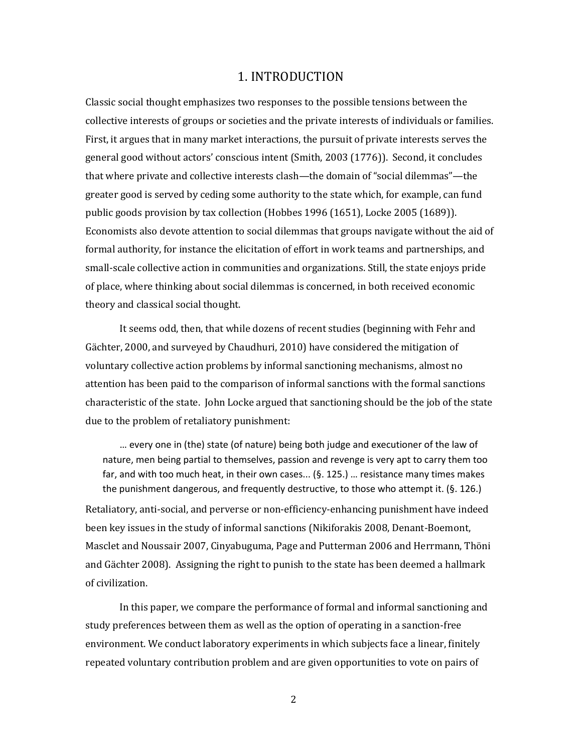## 1. INTRODUCTION

Classic social thought emphasizes two responses to the possible tensions between the collective interests of groups or societies and the private interests of individuals or families. First, it argues that in many market interactions, the pursuit of private interests serves the general good without actors' conscious intent (Smith, 2003 (1776)). Second, it concludes that where private and collective interests clash—the domain of "social dilemmas"—the greater good is served by ceding some authority to the state which, for example, can fund public goods provision by tax collection (Hobbes 1996 (1651), Locke 2005 (1689)). Economists also devote attention to social dilemmas that groups navigate without the aid of formal authority, for instance the elicitation of effort in work teams and partnerships, and small-scale collective action in communities and organizations. Still, the state enjoys pride of place, where thinking about social dilemmas is concerned, in both received economic theory and classical social thought.

It seems odd, then, that while dozens of recent studies (beginning with Fehr and Gächter, 2000, and surveyed by Chaudhuri, 2010) have considered the mitigation of voluntary collective action problems by informal sanctioning mechanisms, almost no attention has been paid to the comparison of informal sanctions with the formal sanctions characteristic of the state. John Locke argued that sanctioning should be the job of the state due to the problem of retaliatory punishment:

… every one in (the) state (of nature) being both judge and executioner of the law of nature, men being partial to themselves, passion and revenge is very apt to carry them too far, and with too much heat, in their own cases... (§. 125.) … resistance many times makes the punishment dangerous, and frequently destructive, to those who attempt it. (§. 126.) Retaliatory, anti-social, and perverse or non-efficiency-enhancing punishment have indeed been key issues in the study of informal sanctions (Nikiforakis 2008, Denant-Boemont, Masclet and Noussair 2007, Cinyabuguma, Page and Putterman 2006 and Herrmann, Thöni and Gächter 2008). Assigning the right to punish to the state has been deemed a hallmark of civilization.

In this paper, we compare the performance of formal and informal sanctioning and study preferences between them as well as the option of operating in a sanction-free environment. We conduct laboratory experiments in which subjects face a linear, finitely repeated voluntary contribution problem and are given opportunities to vote on pairs of

2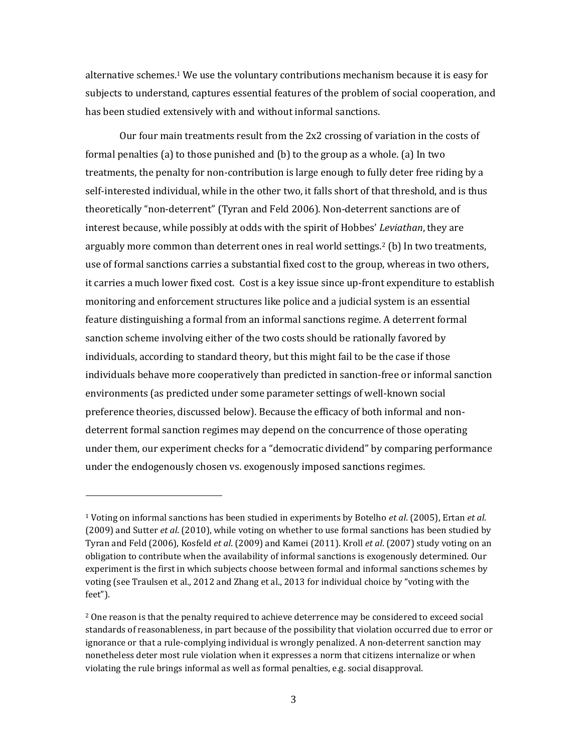alternative schemes.<sup>1</sup> We use the voluntary contributions mechanism because it is easy for subjects to understand, captures essential features of the problem of social cooperation, and has been studied extensively with and without informal sanctions.

Our four main treatments result from the 2x2 crossing of variation in the costs of formal penalties (a) to those punished and (b) to the group as a whole. (a) In two treatments, the penalty for non-contribution is large enough to fully deter free riding by a self-interested individual, while in the other two, it falls short of that threshold, and is thus theoretically "non-deterrent" (Tyran and Feld 2006). Non-deterrent sanctions are of interest because, while possibly at odds with the spirit of Hobbes' *Leviathan*, they are arguably more common than deterrent ones in real world settings.<sup>2</sup> (b) In two treatments, use of formal sanctions carries a substantial fixed cost to the group, whereas in two others, it carries a much lower fixed cost. Cost is a key issue since up-front expenditure to establish monitoring and enforcement structures like police and a judicial system is an essential feature distinguishing a formal from an informal sanctions regime. A deterrent formal sanction scheme involving either of the two costs should be rationally favored by individuals, according to standard theory, but this might fail to be the case if those individuals behave more cooperatively than predicted in sanction-free or informal sanction environments (as predicted under some parameter settings of well-known social preference theories, discussed below). Because the efficacy of both informal and nondeterrent formal sanction regimes may depend on the concurrence of those operating under them, our experiment checks for a "democratic dividend" by comparing performance under the endogenously chosen vs. exogenously imposed sanctions regimes.

 $\overline{a}$ 

<sup>1</sup> Voting on informal sanctions has been studied in experiments by Botelho *et al*. (2005), Ertan *et al*. (2009) and Sutter *et al*. (2010), while voting on whether to use formal sanctions has been studied by Tyran and Feld (2006), Kosfeld *et al*. (2009) and Kamei (2011). Kroll *et al*. (2007) study voting on an obligation to contribute when the availability of informal sanctions is exogenously determined. Our experiment is the first in which subjects choose between formal and informal sanctions schemes by voting (see Traulsen et al., 2012 and Zhang et al., 2013 for individual choice by "voting with the feet").

<sup>&</sup>lt;sup>2</sup> One reason is that the penalty required to achieve deterrence may be considered to exceed social standards of reasonableness, in part because of the possibility that violation occurred due to error or ignorance or that a rule-complying individual is wrongly penalized. A non-deterrent sanction may nonetheless deter most rule violation when it expresses a norm that citizens internalize or when violating the rule brings informal as well as formal penalties, e.g. social disapproval.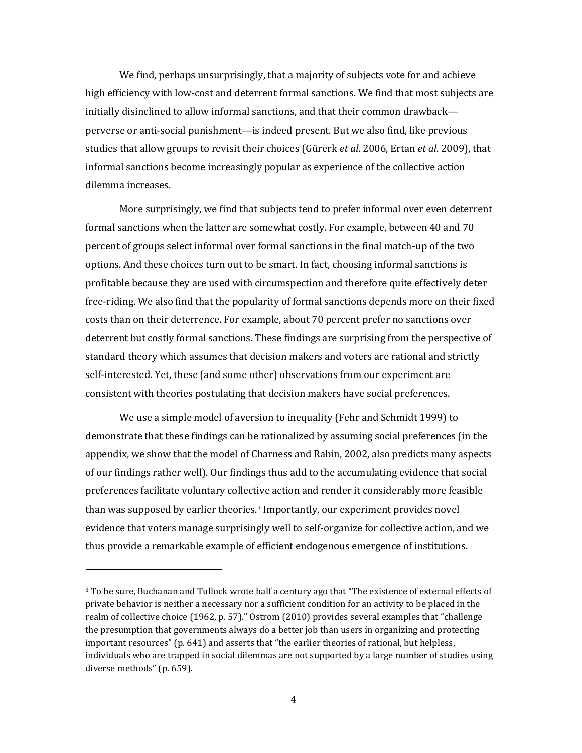We find, perhaps unsurprisingly, that a majority of subjects vote for and achieve high efficiency with low-cost and deterrent formal sanctions. We find that most subjects are initially disinclined to allow informal sanctions, and that their common drawback perverse or anti-social punishment—is indeed present. But we also find, like previous studies that allow groups to revisit their choices (Gürerk *et al*. 2006, Ertan *et al*. 2009), that informal sanctions become increasingly popular as experience of the collective action dilemma increases.

More surprisingly, we find that subjects tend to prefer informal over even deterrent formal sanctions when the latter are somewhat costly. For example, between 40 and 70 percent of groups select informal over formal sanctions in the final match-up of the two options. And these choices turn out to be smart. In fact, choosing informal sanctions is profitable because they are used with circumspection and therefore quite effectively deter free-riding. We also find that the popularity of formal sanctions depends more on their fixed costs than on their deterrence. For example, about 70 percent prefer no sanctions over deterrent but costly formal sanctions. These findings are surprising from the perspective of standard theory which assumes that decision makers and voters are rational and strictly self-interested. Yet, these (and some other) observations from our experiment are consistent with theories postulating that decision makers have social preferences.

We use a simple model of aversion to inequality (Fehr and Schmidt 1999) to demonstrate that these findings can be rationalized by assuming social preferences (in the appendix, we show that the model of Charness and Rabin, 2002, also predicts many aspects of our findings rather well). Our findings thus add to the accumulating evidence that social preferences facilitate voluntary collective action and render it considerably more feasible than was supposed by earlier theories.<sup>3</sup> Importantly, our experiment provides novel evidence that voters manage surprisingly well to self-organize for collective action, and we thus provide a remarkable example of efficient endogenous emergence of institutions.

l

<sup>&</sup>lt;sup>3</sup> To be sure, Buchanan and Tullock wrote half a century ago that "The existence of external effects of private behavior is neither a necessary nor a sufficient condition for an activity to be placed in the realm of collective choice (1962, p. 57)." Ostrom (2010) provides several examples that "challenge the presumption that governments always do a better job than users in organizing and protecting important resources" (p. 641) and asserts that "the earlier theories of rational, but helpless, individuals who are trapped in social dilemmas are not supported by a large number of studies using diverse methods" (p. 659).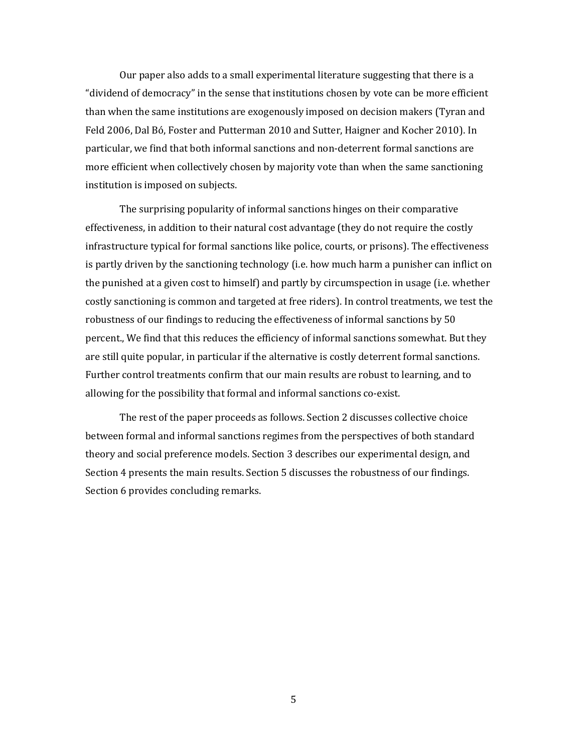Our paper also adds to a small experimental literature suggesting that there is a "dividend of democracy" in the sense that institutions chosen by vote can be more efficient than when the same institutions are exogenously imposed on decision makers (Tyran and Feld 2006, Dal Bó, Foster and Putterman 2010 and Sutter, Haigner and Kocher 2010). In particular, we find that both informal sanctions and non-deterrent formal sanctions are more efficient when collectively chosen by majority vote than when the same sanctioning institution is imposed on subjects.

The surprising popularity of informal sanctions hinges on their comparative effectiveness, in addition to their natural cost advantage (they do not require the costly infrastructure typical for formal sanctions like police, courts, or prisons). The effectiveness is partly driven by the sanctioning technology (i.e. how much harm a punisher can inflict on the punished at a given cost to himself) and partly by circumspection in usage (i.e. whether costly sanctioning is common and targeted at free riders). In control treatments, we test the robustness of our findings to reducing the effectiveness of informal sanctions by 50 percent., We find that this reduces the efficiency of informal sanctions somewhat. But they are still quite popular, in particular if the alternative is costly deterrent formal sanctions. Further control treatments confirm that our main results are robust to learning, and to allowing for the possibility that formal and informal sanctions co-exist.

The rest of the paper proceeds as follows. Section 2 discusses collective choice between formal and informal sanctions regimes from the perspectives of both standard theory and social preference models. Section 3 describes our experimental design, and Section 4 presents the main results. Section 5 discusses the robustness of our findings. Section 6 provides concluding remarks.

5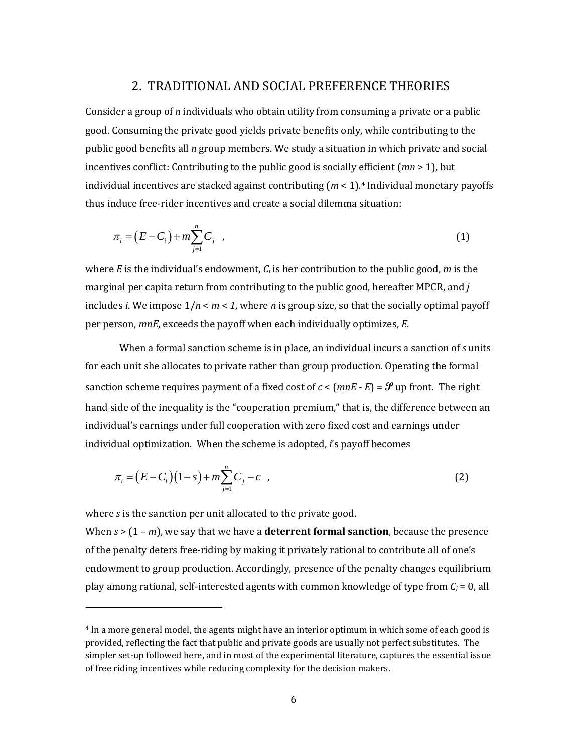# 2. TRADITIONAL AND SOCIAL PREFERENCE THEORIES

Consider a group of *n* individuals who obtain utility from consuming a private or a public good. Consuming the private good yields private benefits only, while contributing to the public good benefits all *n* group members. We study a situation in which private and social incentives conflict: Contributing to the public good is socially efficient (*mn* > 1), but individual incentives are stacked against contributing (*m* < 1).<sup>4</sup> Individual monetary payoffs thus induce free-rider incentives and create a social dilemma situation:

$$
\pi_i = (E - C_i) + m \sum_{j=1}^n C_j \quad , \tag{1}
$$

where *E* is the individual's endowment, *C<sup>i</sup>* is her contribution to the public good, *m* is the marginal per capita return from contributing to the public good, hereafter MPCR, and *j* includes *i*. We impose 1/*n* < *m* < *1*, where *n* is group size, so that the socially optimal payoff per person, *mnE*, exceeds the payoff when each individually optimizes, *E*.

When a formal sanction scheme is in place, an individual incurs a sanction of *s* units for each unit she allocates to private rather than group production. Operating the formal sanction scheme requires payment of a fixed cost of  $c < (mnE - E) = \mathcal{P}$  up front. The right hand side of the inequality is the "cooperation premium," that is, the difference between an individual's earnings under full cooperation with zero fixed cost and earnings under individual optimization. When the scheme is adopted, *i*'s payoff becomes

$$
\pi_i = (E - C_i)(1 - s) + m \sum_{j=1}^n C_j - c \quad , \tag{2}
$$

where *s* is the sanction per unit allocated to the private good.

 $\overline{\phantom{0}}$ 

When *s* > (1 – *m*), we say that we have a **deterrent formal sanction**, because the presence of the penalty deters free-riding by making it privately rational to contribute all of one's endowment to group production. Accordingly, presence of the penalty changes equilibrium play among rational, self-interested agents with common knowledge of type from *C<sup>i</sup>* = 0, all

<sup>4</sup> In a more general model, the agents might have an interior optimum in which some of each good is provided, reflecting the fact that public and private goods are usually not perfect substitutes. The simpler set-up followed here, and in most of the experimental literature, captures the essential issue of free riding incentives while reducing complexity for the decision makers.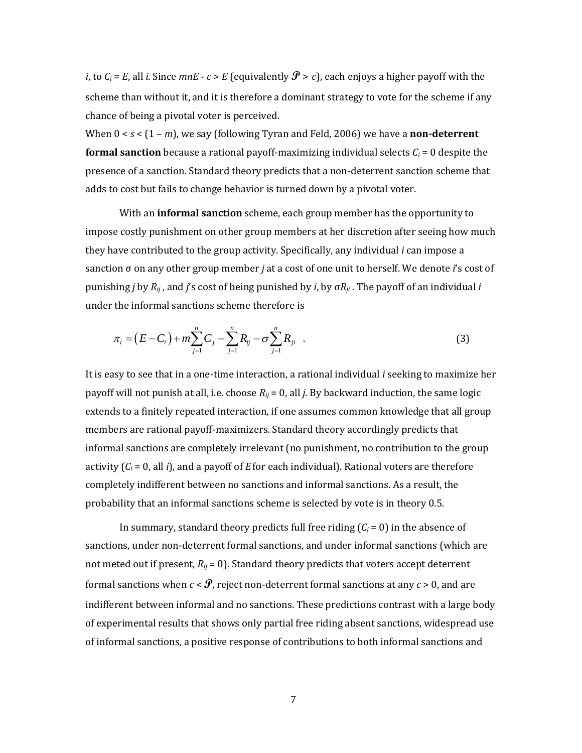*i*, to  $C_i$  = *E*, all *i*. Since *mnE* - *c* > *E* (equivalently  $\mathcal{P}$  > *c*), each enjoys a higher payoff with the scheme than without it, and it is therefore a dominant strategy to vote for the scheme if any chance of being a pivotal voter is perceived.

When 0 < *s* < (1 – *m*), we say (following Tyran and Feld, 2006) we have a **non-deterrent formal sanction** because a rational payoff-maximizing individual selects  $C_i = 0$  despite the presence of a sanction. Standard theory predicts that a non-deterrent sanction scheme that adds to cost but fails to change behavior is turned down by a pivotal voter.

With an **informal sanction** scheme, each group member has the opportunity to impose costly punishment on other group members at her discretion after seeing how much they have contributed to the group activity. Specifically, any individual *i* can impose a sanction σ on any other group member *j* at a cost of one unit to herself. We denote *i*'s cost of punishing *j* by *Rij* , and *j*'s cost of being punished by *i*, by σ*Rji* . The payoff of an individual *i* under the informal sanctions scheme therefore is

the miorma isancuons scheme therefore is  
\n
$$
\pi_i = (E - C_i) + m \sum_{j=1}^n C_j - \sum_{j=1}^n R_{ij} - \sigma \sum_{j=1}^n R_{ji}
$$
\n(3)

It is easy to see that in a one-time interaction, a rational individual *i* seeking to maximize her payoff will not punish at all, i.e. choose *Rij* = 0, all *j*. By backward induction, the same logic extends to a finitely repeated interaction, if one assumes common knowledge that all group members are rational payoff-maximizers. Standard theory accordingly predicts that informal sanctions are completely irrelevant (no punishment, no contribution to the group activity (*C<sup>i</sup>* = 0, all *i*)*,* and a payoff of *E*for each individual). Rational voters are therefore completely indifferent between no sanctions and informal sanctions. As a result, the probability that an informal sanctions scheme is selected by vote is in theory 0.5.

In summary, standard theory predicts full free riding  $(C_i = 0)$  in the absence of sanctions, under non-deterrent formal sanctions, and under informal sanctions (which are not meted out if present, *Rij* = 0). Standard theory predicts that voters accept deterrent formal sanctions when  $c < \mathcal{F}$ , reject non-deterrent formal sanctions at any  $c > 0$ , and are indifferent between informal and no sanctions. These predictions contrast with a large body of experimental results that shows only partial free riding absent sanctions, widespread use of informal sanctions, a positive response of contributions to both informal sanctions and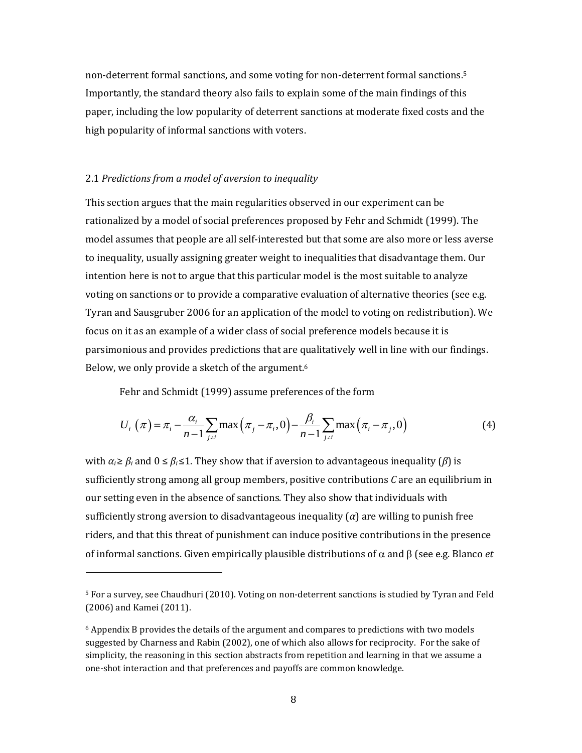non-deterrent formal sanctions, and some voting for non-deterrent formal sanctions. 5 Importantly, the standard theory also fails to explain some of the main findings of this paper, including the low popularity of deterrent sanctions at moderate fixed costs and the high popularity of informal sanctions with voters.

#### 2.1 *Predictions from a model of aversion to inequality*

l

This section argues that the main regularities observed in our experiment can be rationalized by a model of social preferences proposed by Fehr and Schmidt (1999). The model assumes that people are all self-interested but that some are also more or less averse to inequality, usually assigning greater weight to inequalities that disadvantage them. Our intention here is not to argue that this particular model is the most suitable to analyze voting on sanctions or to provide a comparative evaluation of alternative theories (see e.g. Tyran and Sausgruber 2006 for an application of the model to voting on redistribution). We focus on it as an example of a wider class of social preference models because it is parsimonious and provides predictions that are qualitatively well in line with our findings. Below, we only provide a sketch of the argument.<sup>6</sup>

Fehr and Schmidt (1999) assume preferences of the form  
\n
$$
U_i(\pi) = \pi_i - \frac{\alpha_i}{n-1} \sum_{j \neq i} \max(\pi_j - \pi_i, 0) - \frac{\beta_i}{n-1} \sum_{j \neq i} \max(\pi_i - \pi_j, 0)
$$
\n(4)

with  $\alpha_i \geq \beta_i$  and  $0 \leq \beta_i \leq 1$ . They show that if aversion to advantageous inequality ( $\beta$ ) is sufficiently strong among all group members, positive contributions *C* are an equilibrium in our setting even in the absence of sanctions. They also show that individuals with sufficiently strong aversion to disadvantageous inequality  $\alpha$  are willing to punish free riders, and that this threat of punishment can induce positive contributions in the presence of informal sanctions. Given empirically plausible distributions of  $\alpha$  and  $\beta$  (see e.g. Blanco *et* 

<sup>5</sup> For a survey, see Chaudhuri (2010). Voting on non-deterrent sanctions is studied by Tyran and Feld (2006) and Kamei (2011).

 $6$  Appendix B provides the details of the argument and compares to predictions with two models suggested by Charness and Rabin (2002), one of which also allows for reciprocity. For the sake of simplicity, the reasoning in this section abstracts from repetition and learning in that we assume a one-shot interaction and that preferences and payoffs are common knowledge.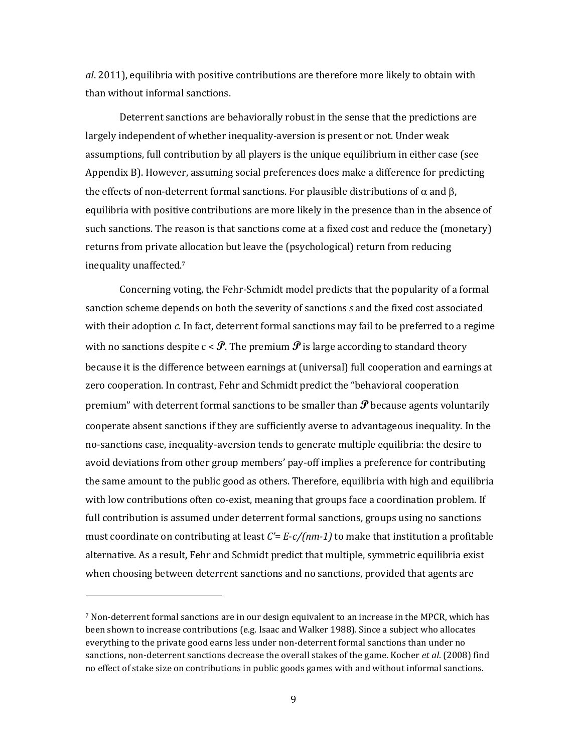*al*. 2011), equilibria with positive contributions are therefore more likely to obtain with than without informal sanctions.

Deterrent sanctions are behaviorally robust in the sense that the predictions are largely independent of whether inequality-aversion is present or not. Under weak assumptions, full contribution by all players is the unique equilibrium in either case (see Appendix B). However, assuming social preferences does make a difference for predicting the effects of non-deterrent formal sanctions. For plausible distributions of  $\alpha$  and  $\beta$ , equilibria with positive contributions are more likely in the presence than in the absence of such sanctions. The reason is that sanctions come at a fixed cost and reduce the (monetary) returns from private allocation but leave the (psychological) return from reducing inequality unaffected.<sup>7</sup>

Concerning voting, the Fehr-Schmidt model predicts that the popularity of a formal sanction scheme depends on both the severity of sanctions *s* and the fixed cost associated with their adoption *c*. In fact, deterrent formal sanctions may fail to be preferred to a regime with no sanctions despite  $c < \mathcal{P}$ . The premium  $\mathcal{P}$  is large according to standard theory because it is the difference between earnings at (universal) full cooperation and earnings at zero cooperation. In contrast, Fehr and Schmidt predict the "behavioral cooperation premium" with deterrent formal sanctions to be smaller than  $\mathcal P$  because agents voluntarily cooperate absent sanctions if they are sufficiently averse to advantageous inequality. In the no-sanctions case, inequality-aversion tends to generate multiple equilibria: the desire to avoid deviations from other group members' pay-off implies a preference for contributing the same amount to the public good as others. Therefore, equilibria with high and equilibria with low contributions often co-exist, meaning that groups face a coordination problem. If full contribution is assumed under deterrent formal sanctions, groups using no sanctions must coordinate on contributing at least *C'*= *E*-*c/(nm-1)* to make that institution a profitable alternative. As a result, Fehr and Schmidt predict that multiple, symmetric equilibria exist when choosing between deterrent sanctions and no sanctions, provided that agents are

l

<sup>7</sup> Non-deterrent formal sanctions are in our design equivalent to an increase in the MPCR, which has been shown to increase contributions (e.g. Isaac and Walker 1988). Since a subject who allocates everything to the private good earns less under non-deterrent formal sanctions than under no sanctions, non-deterrent sanctions decrease the overall stakes of the game. Kocher *et al*. (2008) find no effect of stake size on contributions in public goods games with and without informal sanctions.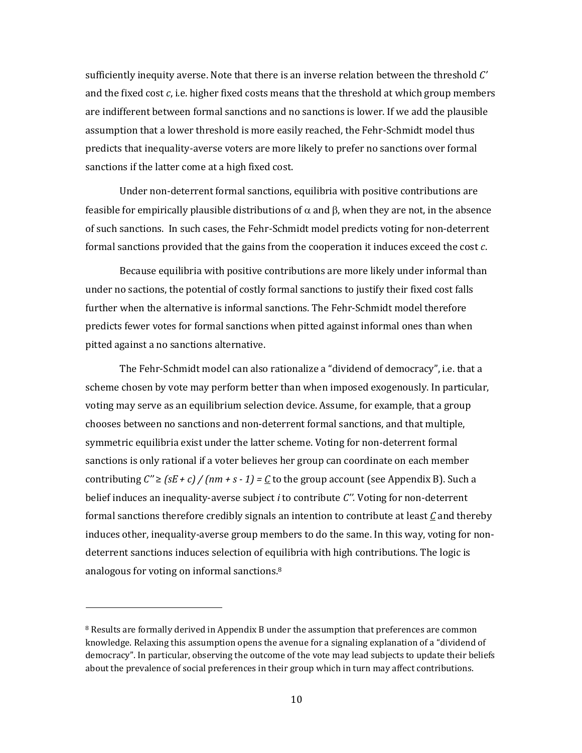sufficiently inequity averse. Note that there is an inverse relation between the threshold *C'* and the fixed cost *c*, i.e. higher fixed costs means that the threshold at which group members are indifferent between formal sanctions and no sanctions is lower. If we add the plausible assumption that a lower threshold is more easily reached, the Fehr-Schmidt model thus predicts that inequality-averse voters are more likely to prefer no sanctions over formal sanctions if the latter come at a high fixed cost.

Under non-deterrent formal sanctions, equilibria with positive contributions are feasible for empirically plausible distributions of  $\alpha$  and  $\beta$ , when they are not, in the absence of such sanctions. In such cases, the Fehr-Schmidt model predicts voting for non-deterrent formal sanctions provided that the gains from the cooperation it induces exceed the cost *c*.

Because equilibria with positive contributions are more likely under informal than under no sactions, the potential of costly formal sanctions to justify their fixed cost falls further when the alternative is informal sanctions. The Fehr-Schmidt model therefore predicts fewer votes for formal sanctions when pitted against informal ones than when pitted against a no sanctions alternative.

The Fehr-Schmidt model can also rationalize a "dividend of democracy", i.e. that a scheme chosen by vote may perform better than when imposed exogenously. In particular, voting may serve as an equilibrium selection device. Assume, for example, that a group chooses between no sanctions and non-deterrent formal sanctions, and that multiple, symmetric equilibria exist under the latter scheme. Voting for non-deterrent formal sanctions is only rational if a voter believes her group can coordinate on each member contributing  $C'' \ge (sE + c)$  /  $(nm + s - 1) = C$  to the group account (see Appendix B). Such a belief induces an inequality-averse subject *i* to contribute *C''.* Voting for non-deterrent formal sanctions therefore credibly signals an intention to contribute at least *C* and thereby induces other, inequality-averse group members to do the same. In this way, voting for nondeterrent sanctions induces selection of equilibria with high contributions. The logic is analogous for voting on informal sanctions.<sup>8</sup>

 $8$  Results are formally derived in Appendix B under the assumption that preferences are common knowledge. Relaxing this assumption opens the avenue for a signaling explanation of a "dividend of democracy". In particular, observing the outcome of the vote may lead subjects to update their beliefs about the prevalence of social preferences in their group which in turn may affect contributions.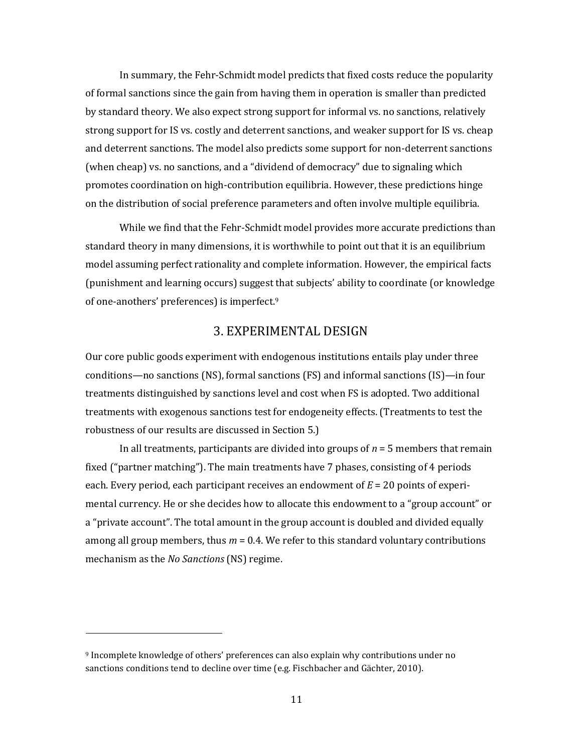In summary, the Fehr-Schmidt model predicts that fixed costs reduce the popularity of formal sanctions since the gain from having them in operation is smaller than predicted by standard theory. We also expect strong support for informal vs. no sanctions, relatively strong support for IS vs. costly and deterrent sanctions, and weaker support for IS vs. cheap and deterrent sanctions. The model also predicts some support for non-deterrent sanctions (when cheap) vs. no sanctions, and a "dividend of democracy" due to signaling which promotes coordination on high-contribution equilibria. However, these predictions hinge on the distribution of social preference parameters and often involve multiple equilibria.

While we find that the Fehr-Schmidt model provides more accurate predictions than standard theory in many dimensions, it is worthwhile to point out that it is an equilibrium model assuming perfect rationality and complete information. However, the empirical facts (punishment and learning occurs) suggest that subjects' ability to coordinate (or knowledge of one-anothers' preferences) is imperfect.<sup>9</sup>

# 3. EXPERIMENTAL DESIGN

Our core public goods experiment with endogenous institutions entails play under three conditions—no sanctions (NS), formal sanctions (FS) and informal sanctions (IS)—in four treatments distinguished by sanctions level and cost when FS is adopted. Two additional treatments with exogenous sanctions test for endogeneity effects. (Treatments to test the robustness of our results are discussed in Section 5.)

In all treatments, participants are divided into groups of *n* = 5 members that remain fixed ("partner matching"). The main treatments have 7 phases, consisting of 4 periods each. Every period, each participant receives an endowment of *E* = 20 points of experimental currency. He or she decides how to allocate this endowment to a "group account" or a "private account". The total amount in the group account is doubled and divided equally among all group members, thus  $m = 0.4$ . We refer to this standard voluntary contributions mechanism as the *No Sanctions* (NS) regime.

<sup>9</sup> Incomplete knowledge of others' preferences can also explain why contributions under no sanctions conditions tend to decline over time (e.g. Fischbacher and Gächter, 2010).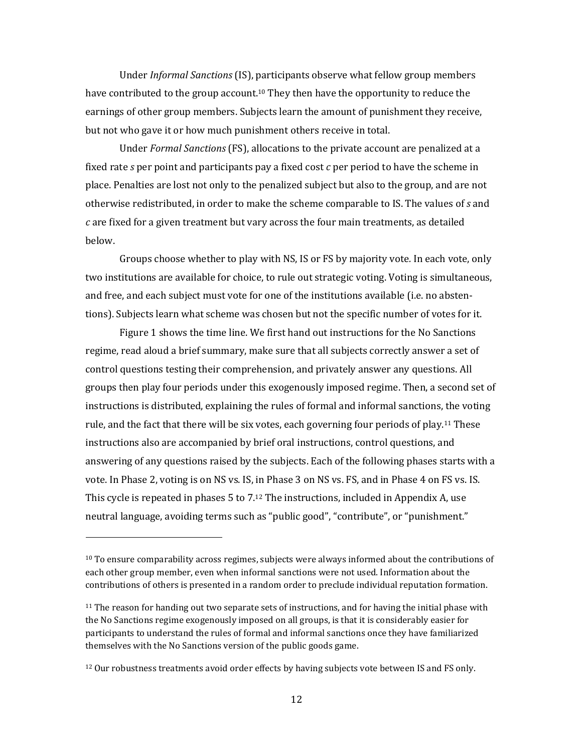Under *Informal Sanctions* (IS), participants observe what fellow group members have contributed to the group account. <sup>10</sup> They then have the opportunity to reduce the earnings of other group members. Subjects learn the amount of punishment they receive, but not who gave it or how much punishment others receive in total.

Under *Formal Sanctions* (FS), allocations to the private account are penalized at a fixed rate *s* per point and participants pay a fixed cost *c* per period to have the scheme in place. Penalties are lost not only to the penalized subject but also to the group, and are not otherwise redistributed, in order to make the scheme comparable to IS. The values of *s* and *c* are fixed for a given treatment but vary across the four main treatments, as detailed below.

Groups choose whether to play with NS, IS or FS by majority vote*.* In each vote, only two institutions are available for choice, to rule out strategic voting. Voting is simultaneous, and free, and each subject must vote for one of the institutions available (i.e. no abstentions). Subjects learn what scheme was chosen but not the specific number of votes for it.

Figure 1 shows the time line. We first hand out instructions for the No Sanctions regime, read aloud a brief summary, make sure that all subjects correctly answer a set of control questions testing their comprehension, and privately answer any questions. All groups then play four periods under this exogenously imposed regime. Then, a second set of instructions is distributed, explaining the rules of formal and informal sanctions, the voting rule, and the fact that there will be six votes, each governing four periods of play.<sup>11</sup> These instructions also are accompanied by brief oral instructions, control questions, and answering of any questions raised by the subjects. Each of the following phases starts with a vote. In Phase 2, voting is on NS vs. IS, in Phase 3 on NS vs. FS, and in Phase 4 on FS vs. IS. This cycle is repeated in phases 5 to 7.<sup>12</sup> The instructions, included in Appendix A, use neutral language, avoiding terms such as "public good", "contribute", or "punishment."

 $10$  To ensure comparability across regimes, subjects were always informed about the contributions of each other group member, even when informal sanctions were not used. Information about the contributions of others is presented in a random order to preclude individual reputation formation.

 $11$  The reason for handing out two separate sets of instructions, and for having the initial phase with the No Sanctions regime exogenously imposed on all groups, is that it is considerably easier for participants to understand the rules of formal and informal sanctions once they have familiarized themselves with the No Sanctions version of the public goods game.

<sup>&</sup>lt;sup>12</sup> Our robustness treatments avoid order effects by having subjects vote between IS and FS only.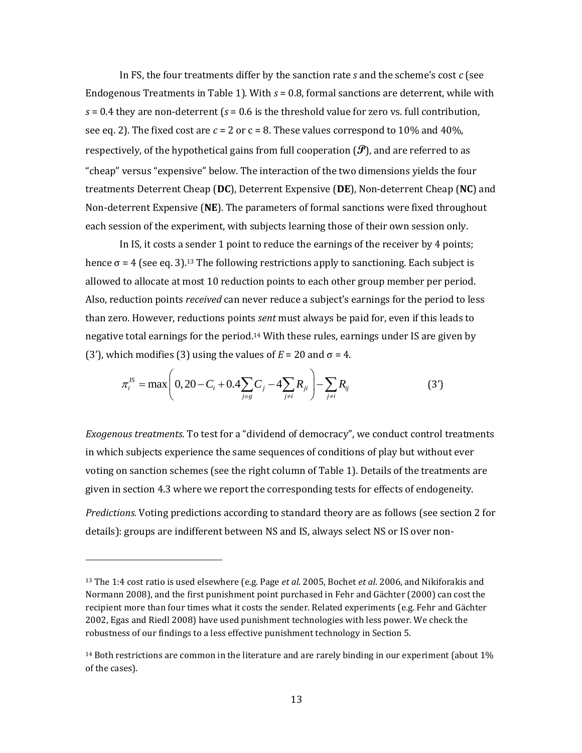In FS, the four treatments differ by the sanction rate *s* and the scheme's cost *c* (see Endogenous Treatments in Table 1). With *s* = 0.8, formal sanctions are deterrent, while with  $s = 0.4$  they are non-deterrent ( $s = 0.6$  is the threshold value for zero vs. full contribution, see eq. 2). The fixed cost are  $c = 2$  or  $c = 8$ . These values correspond to 10% and 40%, respectively, of the hypothetical gains from full cooperation  $(\mathcal{P})$ , and are referred to as "cheap" versus "expensive" below. The interaction of the two dimensions yields the four treatments Deterrent Cheap (**DC**), Deterrent Expensive (**DE**), Non-deterrent Cheap (**NC**) and Non-deterrent Expensive (**NE**). The parameters of formal sanctions were fixed throughout each session of the experiment, with subjects learning those of their own session only.

In IS, it costs a sender 1 point to reduce the earnings of the receiver by 4 points; hence  $\sigma$  = 4 (see eq. 3).<sup>13</sup> The following restrictions apply to sanctioning. Each subject is allowed to allocate at most 10 reduction points to each other group member per period. Also, reduction points *received* can never reduce a subject's earnings for the period to less than zero. However, reductions points *sent* must always be paid for, even if this leads to negative total earnings for the period.<sup>14</sup> With these rules, earnings under IS are given by

(3'), which modifies (3) using the values of 
$$
E = 20
$$
 and  $\sigma = 4$ .  
\n
$$
\pi_i^{IS} = \max \left( 0, 20 - C_i + 0.4 \sum_{j \in g} C_j - 4 \sum_{j \neq i} R_{ji} \right) - \sum_{j \neq i} R_{ij}
$$
\n(3')

*Exogenous treatments.* To test for a "dividend of democracy", we conduct control treatments in which subjects experience the same sequences of conditions of play but without ever voting on sanction schemes (see the right column of Table 1). Details of the treatments are given in section 4.3 where we report the corresponding tests for effects of endogeneity. *Predictions.* Voting predictions according to standard theory are as follows (see section 2 for

details): groups are indifferent between NS and IS, always select NS or IS over non-

 $\overline{a}$ 

<sup>13</sup> The 1:4 cost ratio is used elsewhere (e.g. Page *et al*. 2005, Bochet *et al*. 2006, and Nikiforakis and Normann 2008), and the first punishment point purchased in Fehr and Gächter (2000) can cost the recipient more than four times what it costs the sender. Related experiments (e.g. Fehr and Gächter 2002, Egas and Riedl 2008) have used punishment technologies with less power. We check the robustness of our findings to a less effective punishment technology in Section 5.

 $14$  Both restrictions are common in the literature and are rarely binding in our experiment (about  $1\%$ ) of the cases).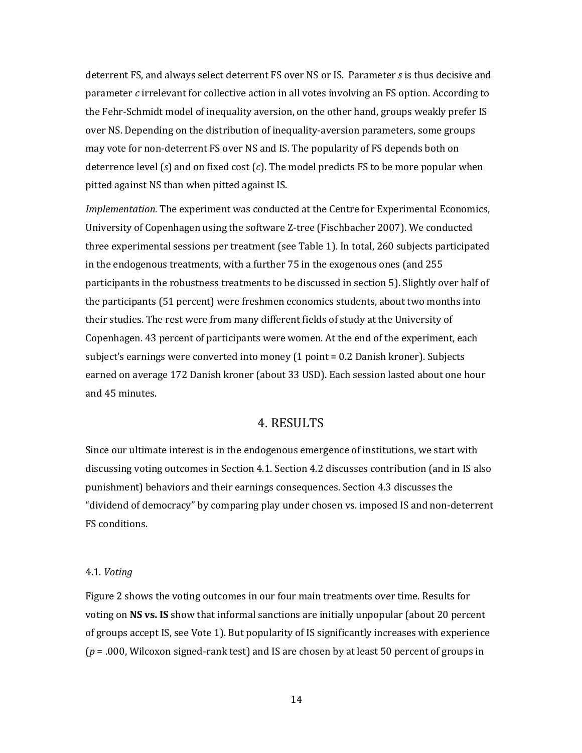deterrent FS, and always select deterrent FS over NS or IS. Parameter *s* is thus decisive and parameter *c* irrelevant for collective action in all votes involving an FS option. According to the Fehr-Schmidt model of inequality aversion, on the other hand, groups weakly prefer IS over NS. Depending on the distribution of inequality-aversion parameters, some groups may vote for non-deterrent FS over NS and IS. The popularity of FS depends both on deterrence level (*s*) and on fixed cost (*c*). The model predicts FS to be more popular when pitted against NS than when pitted against IS.

*Implementation.* The experiment was conducted at the Centre for Experimental Economics, University of Copenhagen using the software Z-tree (Fischbacher 2007). We conducted three experimental sessions per treatment (see Table 1). In total, 260 subjects participated in the endogenous treatments, with a further 75 in the exogenous ones (and 255 participants in the robustness treatments to be discussed in section 5). Slightly over half of the participants (51 percent) were freshmen economics students, about two months into their studies. The rest were from many different fields of study at the University of Copenhagen. 43 percent of participants were women. At the end of the experiment, each subject's earnings were converted into money (1 point = 0.2 Danish kroner). Subjects earned on average 172 Danish kroner (about 33 USD). Each session lasted about one hour and 45 minutes.

## 4. RESULTS

Since our ultimate interest is in the endogenous emergence of institutions, we start with discussing voting outcomes in Section 4.1. Section 4.2 discusses contribution (and in IS also punishment) behaviors and their earnings consequences. Section 4.3 discusses the "dividend of democracy" by comparing play under chosen vs. imposed IS and non-deterrent FS conditions.

#### 4.1. *Voting*

Figure 2 shows the voting outcomes in our four main treatments over time. Results for voting on **NS vs. IS** show that informal sanctions are initially unpopular (about 20 percent of groups accept IS, see Vote 1). But popularity of IS significantly increases with experience (*p* = .000, Wilcoxon signed-rank test) and IS are chosen by at least 50 percent of groups in

14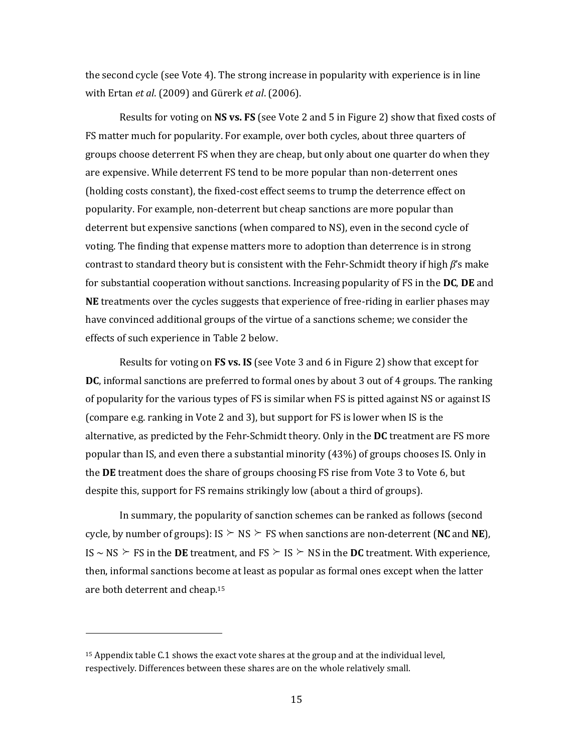the second cycle (see Vote 4). The strong increase in popularity with experience is in line with Ertan *et al*. (2009) and Gürerk *et al*. (2006).

Results for voting on **NS vs. FS** (see Vote 2 and 5 in Figure 2) show that fixed costs of FS matter much for popularity. For example, over both cycles, about three quarters of groups choose deterrent FS when they are cheap, but only about one quarter do when they are expensive. While deterrent FS tend to be more popular than non-deterrent ones (holding costs constant), the fixed-cost effect seems to trump the deterrence effect on popularity. For example, non-deterrent but cheap sanctions are more popular than deterrent but expensive sanctions (when compared to NS), even in the second cycle of voting. The finding that expense matters more to adoption than deterrence is in strong contrast to standard theory but is consistent with the Fehr-Schmidt theory if high *β*'s make for substantial cooperation without sanctions. Increasing popularity of FS in the **DC**, **DE** and **NE** treatments over the cycles suggests that experience of free-riding in earlier phases may have convinced additional groups of the virtue of a sanctions scheme; we consider the effects of such experience in Table 2 below.

Results for voting on **FS vs. IS** (see Vote 3 and 6 in Figure 2) show that except for **DC**, informal sanctions are preferred to formal ones by about 3 out of 4 groups. The ranking of popularity for the various types of FS is similar when FS is pitted against NS or against IS (compare e.g. ranking in Vote 2 and 3), but support for FS is lower when IS is the alternative, as predicted by the Fehr-Schmidt theory. Only in the **DC** treatment are FS more popular than IS, and even there a substantial minority (43%) of groups chooses IS. Only in the **DE** treatment does the share of groups choosing FS rise from Vote 3 to Vote 6, but despite this, support for FS remains strikingly low (about a third of groups).

In summary, the popularity of sanction schemes can be ranked as follows (second cycle, by number of groups): IS  $\succeq$  NS  $\succeq$  FS when sanctions are non-deterrent (**NC** and **NE**), IS  $\sim$  NS  $\geq$  FS in the **DE** treatment, and FS  $\geq$  IS  $\geq$  NS in the **DC** treatment. With experience, then, informal sanctions become at least as popular as formal ones except when the latter are both deterrent and cheap.<sup>15</sup>

<sup>15</sup> Appendix table C.1 shows the exact vote shares at the group and at the individual level, respectively. Differences between these shares are on the whole relatively small.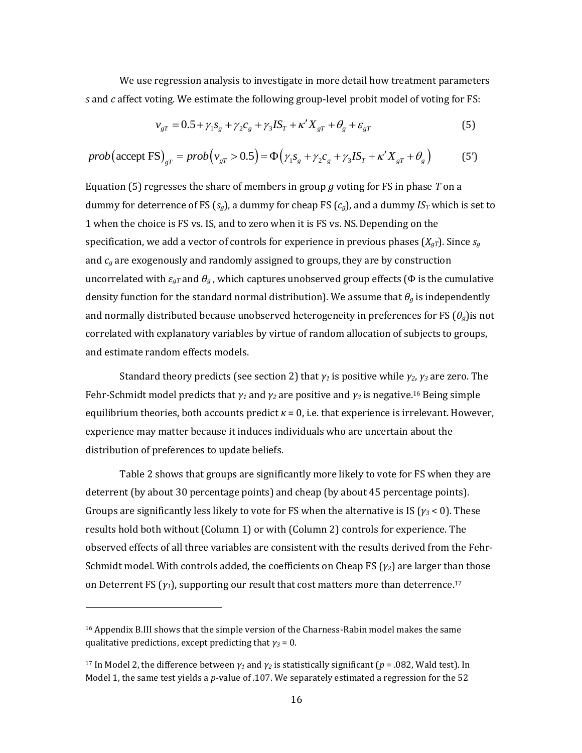We use regression analysis to investigate in more detail how treatment parameters *s* and *c* affect voting. We estimate the following group-level probit model of voting for FS:<br>  $v_{gr} = 0.5 + \gamma_1 s_g + \gamma_2 c_g + \gamma_3 I S_T + \kappa' X_{gr} + \theta_g + \varepsilon_{gr}$  (5)

$$
v_{gT} = 0.5 + \gamma_1 s_g + \gamma_2 c_g + \gamma_3 I S_T + \kappa' X_{gT} + \theta_g + \varepsilon_{gT}
$$
(5)

$$
v_{gT} = 0.5 + \gamma_1 s_g + \gamma_2 c_g + \gamma_3 IS_T + \kappa' X_{gT} + \theta_g + \varepsilon_{gT}
$$
(5)  
\n
$$
prob(\text{accept FS})_{gT} = prob(v_{gT} > 0.5) = \Phi(\gamma_1 s_g + \gamma_2 c_g + \gamma_3 IS_T + \kappa' X_{gT} + \theta_g)
$$
(5')

Equation (5) regresses the share of members in group *g* voting for FS in phase *T* on a dummy for deterrence of FS ( $s_g$ ), a dummy for cheap FS ( $c_g$ ), and a dummy  $IS_T$  which is set to 1 when the choice is FS vs. IS, and to zero when it is FS vs. NS.Depending on the specification, we add a vector of controls for experience in previous phases  $(X_{qT})$ . Since  $s_q$ and *c<sup>g</sup>* are exogenously and randomly assigned to groups, they are by construction uncorrelated with  $\epsilon_{gT}$  and  $\theta_g$ , which captures unobserved group effects ( $\Phi$  is the cumulative density function for the standard normal distribution). We assume that *θ<sup>g</sup>* is independently and normally distributed because unobserved heterogeneity in preferences for FS (*θg*)is not correlated with explanatory variables by virtue of random allocation of subjects to groups, and estimate random effects models.

Standard theory predicts (see section 2) that *γ<sup>1</sup>* is positive while *γ2*, *γ<sup>3</sup>* are zero. The Fehr-Schmidt model predicts that *γ<sup>1</sup>* and *γ<sup>2</sup>* are positive and *γ<sup>3</sup>* is negative. <sup>16</sup> Being simple equilibrium theories, both accounts predict  $\kappa = 0$ , i.e. that experience is irrelevant. However, experience may matter because it induces individuals who are uncertain about the distribution of preferences to update beliefs.

Table 2 shows that groups are significantly more likely to vote for FS when they are deterrent (by about 30 percentage points) and cheap (by about 45 percentage points). Groups are significantly less likely to vote for FS when the alternative is IS (*γ<sup>3</sup>* < 0). These results hold both without (Column 1) or with (Column 2) controls for experience. The observed effects of all three variables are consistent with the results derived from the Fehr-Schmidt model. With controls added, the coefficients on Cheap FS (*γ2*) are larger than those on Deterrent FS (*γ1*), supporting our result that cost matters more than deterrence. 17

<sup>&</sup>lt;sup>16</sup> Appendix B.III shows that the simple version of the Charness-Rabin model makes the same qualitative predictions, except predicting that  $\gamma_3 = 0$ .

<sup>&</sup>lt;sup>17</sup> In Model 2, the difference between  $\gamma_1$  and  $\gamma_2$  is statistically significant ( $p = .082$ , Wald test). In Model 1, the same test yields a *p*-value of .107. We separately estimated a regression for the 52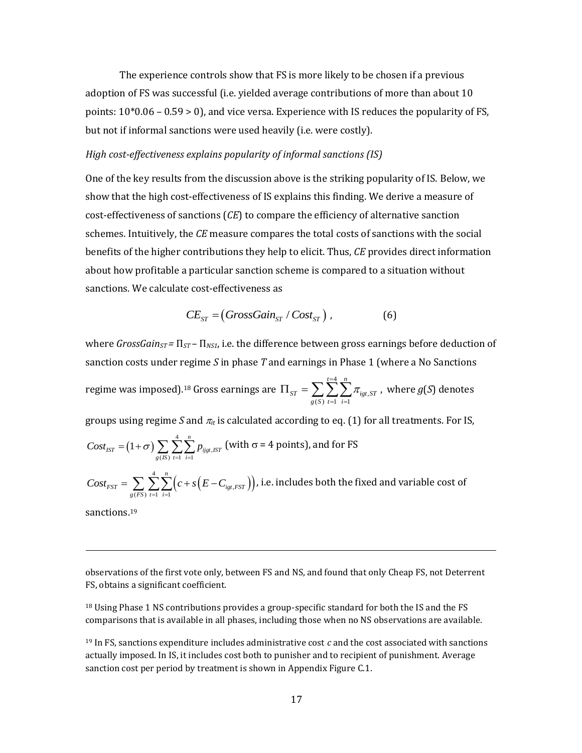The experience controls show that FS is more likely to be chosen if a previous adoption of FS was successful (i.e. yielded average contributions of more than about 10 points:  $10*0.06 - 0.59 > 0$ , and vice versa. Experience with IS reduces the popularity of FS, but not if informal sanctions were used heavily (i.e. were costly).

### *High cost-effectiveness explains popularity of informal sanctions (IS)*

One of the key results from the discussion above is the striking popularity of IS. Below, we show that the high cost-effectiveness of IS explains this finding. We derive a measure of cost-effectiveness of sanctions (*CE*) to compare the efficiency of alternative sanction schemes. Intuitively, the *CE* measure compares the total costs of sanctions with the social benefits of the higher contributions they help to elicit. Thus, *CE* provides direct information about how profitable a particular sanction scheme is compared to a situation without sanctions. We calculate cost-effectiveness as

$$
CE_{ST} = (GrossGain_{ST} / Cost_{ST}), \qquad (6)
$$

where *GrossGainST =* Π*ST –* Π*NS1*, i.e. the difference between gross earnings before deduction of sanction costs under regime *S* in phase *T* and earnings in Phase 1 (where a No Sanctions regime was imposed). <sup>18</sup> Gross earnings are 4  $\sum_{(S)} \sum_{t=1}^{\infty} \sum_{i=1}^{N} r_{igt}$  $t = 4$  n  $\sigma_{ST}$  =  $\sum \sum \sum \pi_{igt,ST}$  $g(S)$   $t=1$  *i* π  $=$  $\Pi_{\textit{ST}} = \sum_{g(S)} \sum_{t=1}^{t=4} \sum_{i=1}^{n} \pi_{\textit{igt},ST}$  , where  $g(S)$  denotes groups using regime *S* and  $\pi_{it}$  is calculated according to eq. (1) for all treatments. For IS,  $(1+\sigma)\sum_{i=1}^{4}$  $\sum_{g_{s}} \sum_{s=1}^{4} \sum_{i=1}^{n} p_{ijgt, t, s}$ *Cost*<sub>*IST*</sub> =  $(1+\sigma)\sum_{g(S)}\sum_{t=1}^{4}\sum_{i=1}^{n}p_{ijg}$ (with  $\sigma$  = 4 points), and for FS  $(c+s(E-C_{igt, FST}))$  , 4  $\sum_{(FS)} \sum_{t=1} \sum_{i=1} (C + S (E - C_{igt}))$  $f_{FST} = \sum_{g(FS)} \sum_{t=1}^{4} \sum_{i=1}^{n} (c + s (E - C_{igt, FST}))$  $Cost_{FST} = \sum_{g(FS)} \sum_{t=1}^{4} \sum_{i=1}^{n} (c + s (E - C_{igt, FS}))$ , i.e. includes both the fixed and variable cost of

sanctions. 19

 $\overline{\phantom{0}}$ 

observations of the first vote only, between FS and NS, and found that only Cheap FS, not Deterrent FS, obtains a significant coefficient.

<sup>18</sup> Using Phase 1 NS contributions provides a group-specific standard for both the IS and the FS comparisons that is available in all phases, including those when no NS observations are available.

<sup>19</sup> In FS, sanctions expenditure includes administrative cost *c* and the cost associated with sanctions actually imposed. In IS, it includes cost both to punisher and to recipient of punishment. Average sanction cost per period by treatment is shown in Appendix Figure C.1.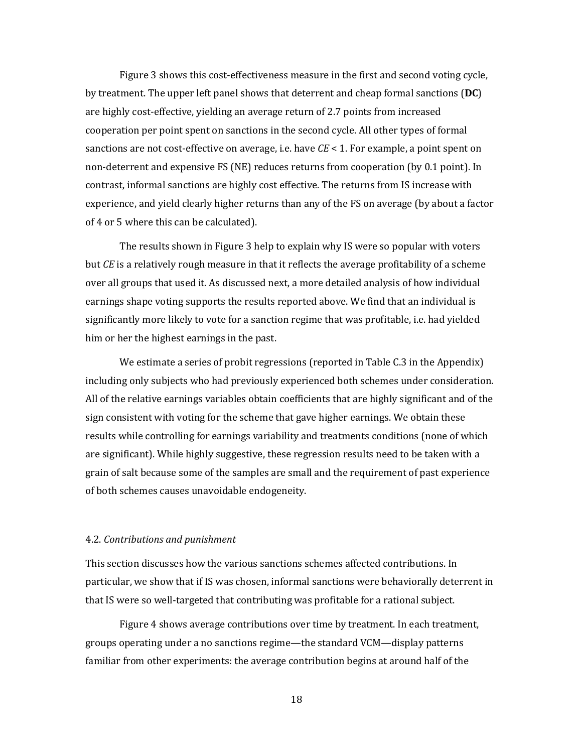Figure 3 shows this cost-effectiveness measure in the first and second voting cycle, by treatment. The upper left panel shows that deterrent and cheap formal sanctions (**DC**) are highly cost-effective, yielding an average return of 2.7 points from increased cooperation per point spent on sanctions in the second cycle. All other types of formal sanctions are not cost-effective on average, i.e. have *CE* < 1. For example, a point spent on non-deterrent and expensive FS (NE) reduces returns from cooperation (by 0.1 point). In contrast, informal sanctions are highly cost effective. The returns from IS increase with experience, and yield clearly higher returns than any of the FS on average (by about a factor of 4 or 5 where this can be calculated).

The results shown in Figure 3 help to explain why IS were so popular with voters but *CE* is a relatively rough measure in that it reflects the average profitability of a scheme over all groups that used it. As discussed next, a more detailed analysis of how individual earnings shape voting supports the results reported above. We find that an individual is significantly more likely to vote for a sanction regime that was profitable, i.e. had yielded him or her the highest earnings in the past.

We estimate a series of probit regressions (reported in Table C.3 in the Appendix) including only subjects who had previously experienced both schemes under consideration. All of the relative earnings variables obtain coefficients that are highly significant and of the sign consistent with voting for the scheme that gave higher earnings. We obtain these results while controlling for earnings variability and treatments conditions (none of which are significant). While highly suggestive, these regression results need to be taken with a grain of salt because some of the samples are small and the requirement of past experience of both schemes causes unavoidable endogeneity.

#### 4.2. *Contributions and punishment*

This section discusses how the various sanctions schemes affected contributions. In particular, we show that if IS was chosen, informal sanctions were behaviorally deterrent in that IS were so well-targeted that contributing was profitable for a rational subject.

Figure 4 shows average contributions over time by treatment. In each treatment, groups operating under a no sanctions regime—the standard VCM—display patterns familiar from other experiments: the average contribution begins at around half of the

18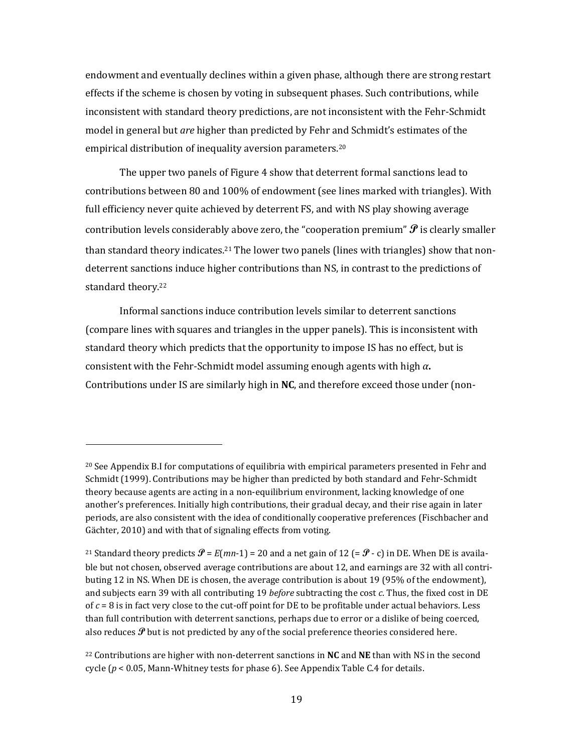endowment and eventually declines within a given phase, although there are strong restart effects if the scheme is chosen by voting in subsequent phases. Such contributions, while inconsistent with standard theory predictions, are not inconsistent with the Fehr-Schmidt model in general but *are* higher than predicted by Fehr and Schmidt's estimates of the empirical distribution of inequality aversion parameters.<sup>20</sup>

The upper two panels of Figure 4 show that deterrent formal sanctions lead to contributions between 80 and 100% of endowment (see lines marked with triangles). With full efficiency never quite achieved by deterrent FS, and with NS play showing average contribution levels considerably above zero, the "cooperation premium"  $\mathcal P$  is clearly smaller than standard theory indicates.<sup>21</sup> The lower two panels (lines with triangles) show that nondeterrent sanctions induce higher contributions than NS, in contrast to the predictions of standard theory.<sup>22</sup>

Informal sanctions induce contribution levels similar to deterrent sanctions (compare lines with squares and triangles in the upper panels). This is inconsistent with standard theory which predicts that the opportunity to impose IS has no effect, but is consistent with the Fehr-Schmidt model assuming enough agents with high *α***.** Contributions under IS are similarly high in **NC**, and therefore exceed those under (non-

 $20$  See Appendix B.I for computations of equilibria with empirical parameters presented in Fehr and Schmidt (1999). Contributions may be higher than predicted by both standard and Fehr-Schmidt theory because agents are acting in a non-equilibrium environment, lacking knowledge of one another's preferences. Initially high contributions, their gradual decay, and their rise again in later periods, are also consistent with the idea of conditionally cooperative preferences (Fischbacher and Gächter, 2010) and with that of signaling effects from voting.

<sup>&</sup>lt;sup>21</sup> Standard theory predicts  $\mathcal{P} = E(mn-1) = 20$  and a net gain of 12 (=  $\mathcal{P}$  - c) in DE. When DE is available but not chosen, observed average contributions are about 12, and earnings are 32 with all contributing 12 in NS. When DE is chosen, the average contribution is about 19 (95% of the endowment), and subjects earn 39 with all contributing 19 *before* subtracting the cost *c*. Thus, the fixed cost in DE of  $c = 8$  is in fact very close to the cut-off point for DE to be profitable under actual behaviors. Less than full contribution with deterrent sanctions, perhaps due to error or a dislike of being coerced, also reduces  $\mathcal{P}$  but is not predicted by any of the social preference theories considered here.

<sup>22</sup> Contributions are higher with non-deterrent sanctions in **NC** and **NE** than with NS in the second cycle (*p* < 0.05, Mann-Whitney tests for phase 6). See Appendix Table C.4 for details.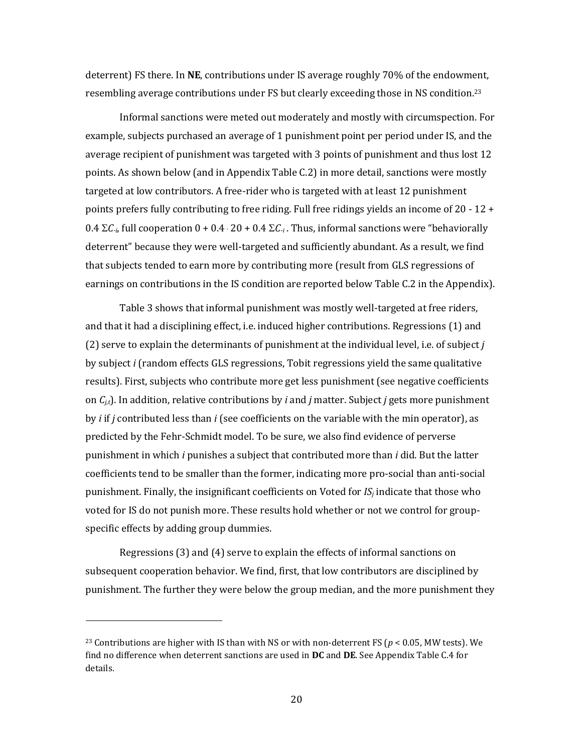deterrent) FS there. In **NE**, contributions under IS average roughly 70% of the endowment, resembling average contributions under FS but clearly exceeding those in NS condition.<sup>23</sup>

Informal sanctions were meted out moderately and mostly with circumspection. For example, subjects purchased an average of 1 punishment point per period under IS, and the average recipient of punishment was targeted with 3 points of punishment and thus lost 12 points. As shown below (and in Appendix Table C.2) in more detail, sanctions were mostly targeted at low contributors. A free-rider who is targeted with at least 12 punishment points prefers fully contributing to free riding. Full free ridings yields an income of 20 - 12 + 0.4  $\Sigma C_i$ , full cooperation 0 + 0.4  $\cdot$  20 + 0.4  $\Sigma C_i$ . Thus, informal sanctions were "behaviorally" deterrent" because they were well-targeted and sufficiently abundant. As a result, we find that subjects tended to earn more by contributing more (result from GLS regressions of earnings on contributions in the IS condition are reported below Table C.2 in the Appendix).

Table 3 shows that informal punishment was mostly well-targeted at free riders, and that it had a disciplining effect, i.e. induced higher contributions. Regressions (1) and (2) serve to explain the determinants of punishment at the individual level, i.e. of subject *j* by subject *i* (random effects GLS regressions, Tobit regressions yield the same qualitative results). First, subjects who contribute more get less punishment (see negative coefficients on  $C_{i,t}$ ). In addition, relative contributions by *i* and *j* matter. Subject *j* gets more punishment by *i* if *j* contributed less than *i* (see coefficients on the variable with the min operator), as predicted by the Fehr-Schmidt model. To be sure, we also find evidence of perverse punishment in which *i* punishes a subject that contributed more than *i* did. But the latter coefficients tend to be smaller than the former, indicating more pro-social than anti-social punishment. Finally, the insignificant coefficients on Voted for *IS<sup>j</sup>* indicate that those who voted for IS do not punish more. These results hold whether or not we control for groupspecific effects by adding group dummies.

Regressions (3) and (4) serve to explain the effects of informal sanctions on subsequent cooperation behavior. We find, first, that low contributors are disciplined by punishment. The further they were below the group median, and the more punishment they

l

<sup>&</sup>lt;sup>23</sup> Contributions are higher with IS than with NS or with non-deterrent FS ( $p < 0.05$ , MW tests). We find no difference when deterrent sanctions are used in **DC** and **DE**. See Appendix Table C.4 for details.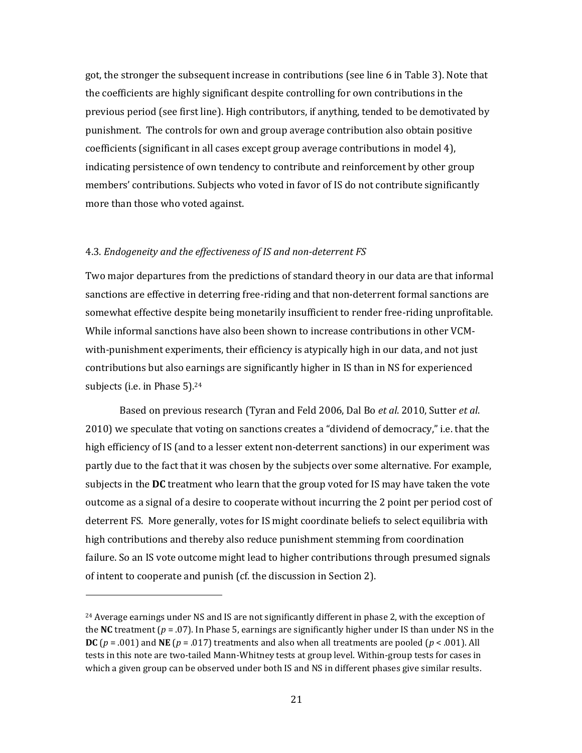got, the stronger the subsequent increase in contributions (see line 6 in Table 3). Note that the coefficients are highly significant despite controlling for own contributions in the previous period (see first line). High contributors, if anything, tended to be demotivated by punishment. The controls for own and group average contribution also obtain positive coefficients (significant in all cases except group average contributions in model 4), indicating persistence of own tendency to contribute and reinforcement by other group members' contributions. Subjects who voted in favor of IS do not contribute significantly more than those who voted against.

#### 4.3. *Endogeneity and the effectiveness of IS and non-deterrent FS*

l

Two major departures from the predictions of standard theory in our data are that informal sanctions are effective in deterring free-riding and that non-deterrent formal sanctions are somewhat effective despite being monetarily insufficient to render free-riding unprofitable. While informal sanctions have also been shown to increase contributions in other VCMwith-punishment experiments, their efficiency is atypically high in our data, and not just contributions but also earnings are significantly higher in IS than in NS for experienced subjects (i.e. in Phase 5). 24

Based on previous research (Tyran and Feld 2006, Dal Bo *et al*. 2010, Sutter *et al*. 2010) we speculate that voting on sanctions creates a "dividend of democracy," i.e. that the high efficiency of IS (and to a lesser extent non-deterrent sanctions) in our experiment was partly due to the fact that it was chosen by the subjects over some alternative. For example, subjects in the **DC** treatment who learn that the group voted for IS may have taken the vote outcome as a signal of a desire to cooperate without incurring the 2 point per period cost of deterrent FS. More generally, votes for IS might coordinate beliefs to select equilibria with high contributions and thereby also reduce punishment stemming from coordination failure. So an IS vote outcome might lead to higher contributions through presumed signals of intent to cooperate and punish (cf. the discussion in Section 2).

 $24$  Average earnings under NS and IS are not significantly different in phase 2, with the exception of the **NC** treatment (*p* = .07). In Phase 5, earnings are significantly higher under IS than under NS in the **DC** ( $p = .001$ ) and **NE** ( $p = .017$ ) treatments and also when all treatments are pooled ( $p < .001$ ). All tests in this note are two-tailed Mann-Whitney tests at group level. Within-group tests for cases in which a given group can be observed under both IS and NS in different phases give similar results.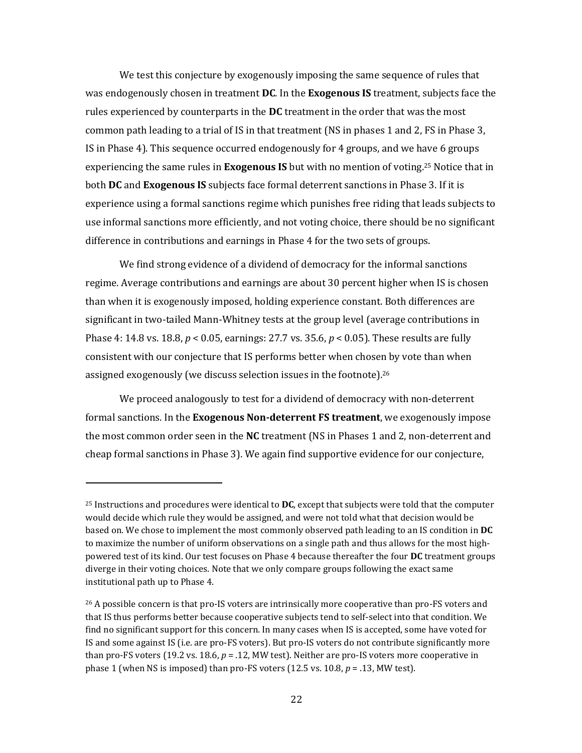We test this conjecture by exogenously imposing the same sequence of rules that was endogenously chosen in treatment **DC**. In the **Exogenous IS** treatment, subjects face the rules experienced by counterparts in the **DC** treatment in the order that was the most common path leading to a trial of IS in that treatment (NS in phases 1 and 2, FS in Phase 3, IS in Phase 4). This sequence occurred endogenously for 4 groups, and we have 6 groups experiencing the same rules in **Exogenous IS** but with no mention of voting. <sup>25</sup> Notice that in both **DC** and **Exogenous IS** subjects face formal deterrent sanctions in Phase 3. If it is experience using a formal sanctions regime which punishes free riding that leads subjects to use informal sanctions more efficiently, and not voting choice, there should be no significant difference in contributions and earnings in Phase 4 for the two sets of groups.

We find strong evidence of a dividend of democracy for the informal sanctions regime. Average contributions and earnings are about 30 percent higher when IS is chosen than when it is exogenously imposed, holding experience constant. Both differences are significant in two-tailed Mann-Whitney tests at the group level (average contributions in Phase 4: 14.8 vs. 18.8, *p* < 0.05, earnings: 27.7 vs. 35.6, *p* < 0.05). These results are fully consistent with our conjecture that IS performs better when chosen by vote than when assigned exogenously (we discuss selection issues in the footnote). 26

We proceed analogously to test for a dividend of democracy with non-deterrent formal sanctions. In the **Exogenous Non-deterrent FS treatment**, we exogenously impose the most common order seen in the **NC** treatment (NS in Phases 1 and 2, non-deterrent and cheap formal sanctions in Phase 3). We again find supportive evidence for our conjecture,

<sup>25</sup> Instructions and procedures were identical to **DC**, except that subjects were told that the computer would decide which rule they would be assigned, and were not told what that decision would be based on. We chose to implement the most commonly observed path leading to an IS condition in **DC** to maximize the number of uniform observations on a single path and thus allows for the most highpowered test of its kind. Our test focuses on Phase 4 because thereafter the four **DC** treatment groups diverge in their voting choices. Note that we only compare groups following the exact same institutional path up to Phase 4.

<sup>&</sup>lt;sup>26</sup> A possible concern is that pro-IS voters are intrinsically more cooperative than pro-FS voters and that IS thus performs better because cooperative subjects tend to self-select into that condition. We find no significant support for this concern. In many cases when IS is accepted, some have voted for IS and some against IS (i.e. are pro-FS voters). But pro-IS voters do not contribute significantly more than pro-FS voters (19.2 vs. 18.6, *p* = .12, MW test). Neither are pro-IS voters more cooperative in phase 1 (when NS is imposed) than pro-FS voters (12.5 vs. 10.8, *p* = .13, MW test).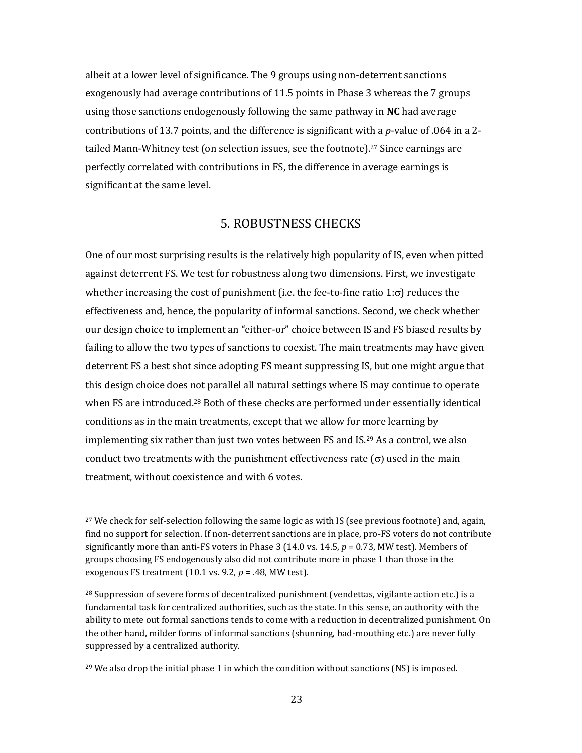albeit at a lower level of significance. The 9 groups using non-deterrent sanctions exogenously had average contributions of 11.5 points in Phase 3 whereas the 7 groups using those sanctions endogenously following the same pathway in **NC** had average contributions of 13.7 points, and the difference is significant with a *p*-value of .064 in a 2 tailed Mann-Whitney test (on selection issues, see the footnote). <sup>27</sup> Since earnings are perfectly correlated with contributions in FS, the difference in average earnings is significant at the same level.

# 5. ROBUSTNESS CHECKS

One of our most surprising results is the relatively high popularity of IS, even when pitted against deterrent FS. We test for robustness along two dimensions. First, we investigate whether increasing the cost of punishment (i.e. the fee-to-fine ratio  $1:\sigma$ ) reduces the effectiveness and, hence, the popularity of informal sanctions. Second, we check whether our design choice to implement an "either-or" choice between IS and FS biased results by failing to allow the two types of sanctions to coexist. The main treatments may have given deterrent FS a best shot since adopting FS meant suppressing IS, but one might argue that this design choice does not parallel all natural settings where IS may continue to operate when FS are introduced.<sup>28</sup> Both of these checks are performed under essentially identical conditions as in the main treatments, except that we allow for more learning by implementing six rather than just two votes between FS and IS.<sup>29</sup> As a control, we also conduct two treatments with the punishment effectiveness rate  $(\sigma)$  used in the main treatment, without coexistence and with 6 votes.

<sup>&</sup>lt;sup>27</sup> We check for self-selection following the same logic as with IS (see previous footnote) and, again, find no support for selection. If non-deterrent sanctions are in place, pro-FS voters do not contribute significantly more than anti-FS voters in Phase 3 (14.0 vs. 14.5, *p* = 0.73, MW test). Members of groups choosing FS endogenously also did not contribute more in phase 1 than those in the exogenous FS treatment (10.1 vs. 9.2, *p* = .48, MW test).

<sup>28</sup> Suppression of severe forms of decentralized punishment (vendettas, vigilante action etc.) is a fundamental task for centralized authorities, such as the state. In this sense, an authority with the ability to mete out formal sanctions tends to come with a reduction in decentralized punishment. On the other hand, milder forms of informal sanctions (shunning, bad-mouthing etc.) are never fully suppressed by a centralized authority.

<sup>&</sup>lt;sup>29</sup> We also drop the initial phase 1 in which the condition without sanctions (NS) is imposed.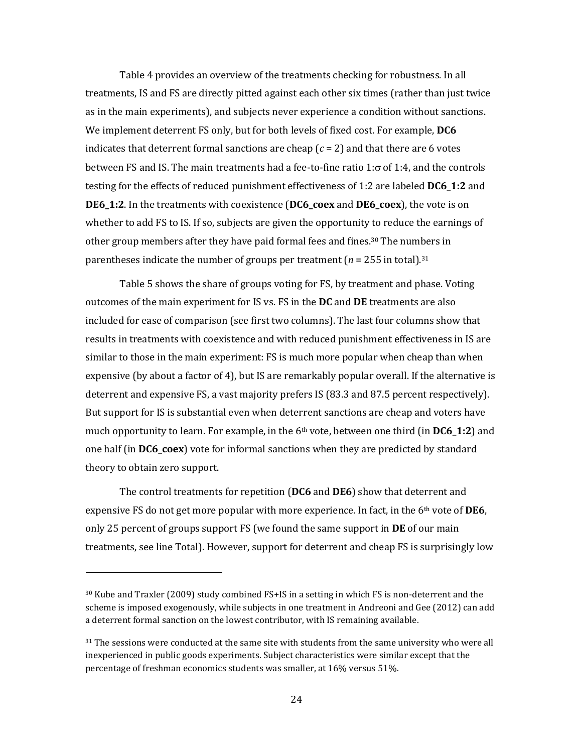Table 4 provides an overview of the treatments checking for robustness. In all treatments, IS and FS are directly pitted against each other six times (rather than just twice as in the main experiments), and subjects never experience a condition without sanctions. We implement deterrent FS only, but for both levels of fixed cost. For example, **DC6** indicates that deterrent formal sanctions are cheap  $(c = 2)$  and that there are 6 votes between FS and IS. The main treatments had a fee-to-fine ratio 1: $\sigma$  of 1:4, and the controls testing for the effects of reduced punishment effectiveness of 1:2 are labeled **DC6\_1:2** and **DE6\_1:2**. In the treatments with coexistence (**DC6\_coex** and **DE6\_coex**), the vote is on whether to add FS to IS. If so, subjects are given the opportunity to reduce the earnings of other group members after they have paid formal fees and fines. <sup>30</sup> The numbers in parentheses indicate the number of groups per treatment ( $n = 255$  in total).<sup>31</sup>

Table 5 shows the share of groups voting for FS, by treatment and phase. Voting outcomes of the main experiment for IS vs. FS in the **DC** and **DE** treatments are also included for ease of comparison (see first two columns). The last four columns show that results in treatments with coexistence and with reduced punishment effectiveness in IS are similar to those in the main experiment: FS is much more popular when cheap than when expensive (by about a factor of 4), but IS are remarkably popular overall. If the alternative is deterrent and expensive FS, a vast majority prefers IS (83.3 and 87.5 percent respectively). But support for IS is substantial even when deterrent sanctions are cheap and voters have much opportunity to learn. For example, in the 6th vote, between one third (in **DC6\_1:2**) and one half (in **DC6\_coex**) vote for informal sanctions when they are predicted by standard theory to obtain zero support.

The control treatments for repetition (**DC6** and **DE6**) show that deterrent and expensive FS do not get more popular with more experience. In fact, in the 6th vote of **DE6**, only 25 percent of groups support FS (we found the same support in **DE** of our main treatments, see line Total). However, support for deterrent and cheap FS is surprisingly low

l

<sup>30</sup> Kube and Traxler (2009) study combined FS+IS in a setting in which FS is non-deterrent and the scheme is imposed exogenously, while subjects in one treatment in Andreoni and Gee (2012) can add a deterrent formal sanction on the lowest contributor, with IS remaining available.

<sup>&</sup>lt;sup>31</sup> The sessions were conducted at the same site with students from the same university who were all inexperienced in public goods experiments. Subject characteristics were similar except that the percentage of freshman economics students was smaller, at 16% versus 51%.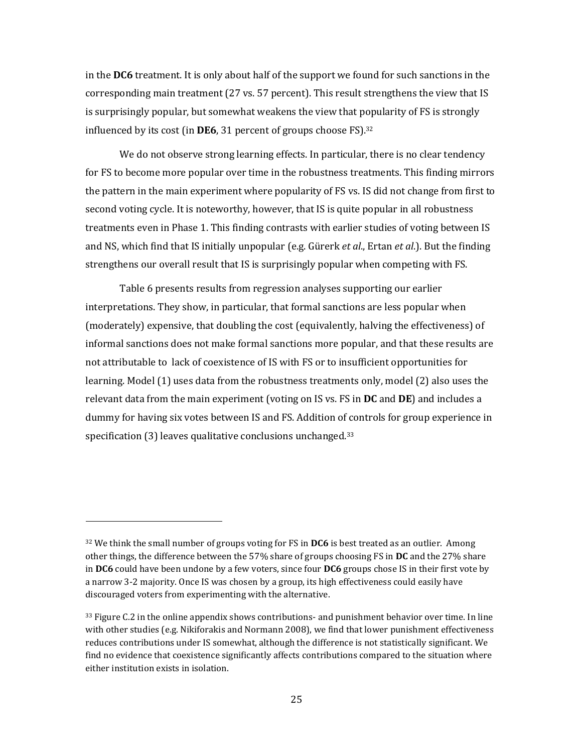in the **DC6** treatment. It is only about half of the support we found for such sanctions in the corresponding main treatment (27 vs. 57 percent). This result strengthens the view that IS is surprisingly popular, but somewhat weakens the view that popularity of FS is strongly influenced by its cost (in **DE6**, 31 percent of groups choose FS).<sup>32</sup>

We do not observe strong learning effects. In particular, there is no clear tendency for FS to become more popular over time in the robustness treatments. This finding mirrors the pattern in the main experiment where popularity of FS vs. IS did not change from first to second voting cycle. It is noteworthy, however, that IS is quite popular in all robustness treatments even in Phase 1. This finding contrasts with earlier studies of voting between IS and NS, which find that IS initially unpopular (e.g. Gürerk *et al*., Ertan *et al*.). But the finding strengthens our overall result that IS is surprisingly popular when competing with FS.

Table 6 presents results from regression analyses supporting our earlier interpretations. They show, in particular, that formal sanctions are less popular when (moderately) expensive, that doubling the cost (equivalently, halving the effectiveness) of informal sanctions does not make formal sanctions more popular, and that these results are not attributable to lack of coexistence of IS with FS or to insufficient opportunities for learning. Model (1) uses data from the robustness treatments only, model (2) also uses the relevant data from the main experiment (voting on IS vs. FS in **DC** and **DE**) and includes a dummy for having six votes between IS and FS. Addition of controls for group experience in specification (3) leaves qualitative conclusions unchanged.<sup>33</sup>

 $\overline{a}$ 

<sup>32</sup> We think the small number of groups voting for FS in **DC6** is best treated as an outlier. Among other things, the difference between the 57% share of groups choosing FS in **DC** and the 27% share in **DC6** could have been undone by a few voters, since four **DC6** groups chose IS in their first vote by a narrow 3-2 majority. Once IS was chosen by a group, its high effectiveness could easily have discouraged voters from experimenting with the alternative.

 $33$  Figure C.2 in the online appendix shows contributions- and punishment behavior over time. In line with other studies (e.g. Nikiforakis and Normann 2008), we find that lower punishment effectiveness reduces contributions under IS somewhat, although the difference is not statistically significant. We find no evidence that coexistence significantly affects contributions compared to the situation where either institution exists in isolation.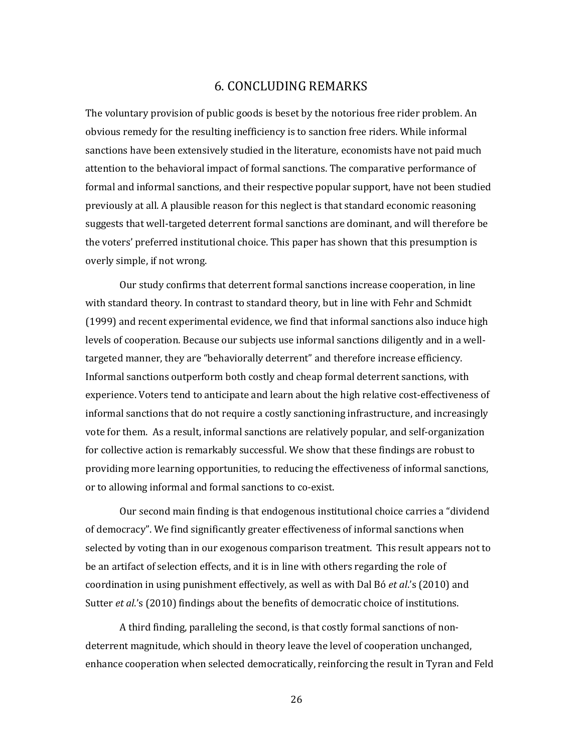# 6. CONCLUDING REMARKS

The voluntary provision of public goods is beset by the notorious free rider problem. An obvious remedy for the resulting inefficiency is to sanction free riders. While informal sanctions have been extensively studied in the literature, economists have not paid much attention to the behavioral impact of formal sanctions. The comparative performance of formal and informal sanctions, and their respective popular support, have not been studied previously at all. A plausible reason for this neglect is that standard economic reasoning suggests that well-targeted deterrent formal sanctions are dominant, and will therefore be the voters' preferred institutional choice. This paper has shown that this presumption is overly simple, if not wrong.

Our study confirms that deterrent formal sanctions increase cooperation, in line with standard theory. In contrast to standard theory, but in line with Fehr and Schmidt (1999) and recent experimental evidence, we find that informal sanctions also induce high levels of cooperation. Because our subjects use informal sanctions diligently and in a welltargeted manner, they are "behaviorally deterrent" and therefore increase efficiency. Informal sanctions outperform both costly and cheap formal deterrent sanctions, with experience. Voters tend to anticipate and learn about the high relative cost-effectiveness of informal sanctions that do not require a costly sanctioning infrastructure, and increasingly vote for them. As a result, informal sanctions are relatively popular, and self-organization for collective action is remarkably successful. We show that these findings are robust to providing more learning opportunities, to reducing the effectiveness of informal sanctions, or to allowing informal and formal sanctions to co-exist.

Our second main finding is that endogenous institutional choice carries a "dividend of democracy". We find significantly greater effectiveness of informal sanctions when selected by voting than in our exogenous comparison treatment. This result appears not to be an artifact of selection effects, and it is in line with others regarding the role of coordination in using punishment effectively, as well as with Dal Bó *et al*.'s (2010) and Sutter *et al*.'s (2010) findings about the benefits of democratic choice of institutions.

A third finding, paralleling the second, is that costly formal sanctions of nondeterrent magnitude, which should in theory leave the level of cooperation unchanged, enhance cooperation when selected democratically, reinforcing the result in Tyran and Feld

26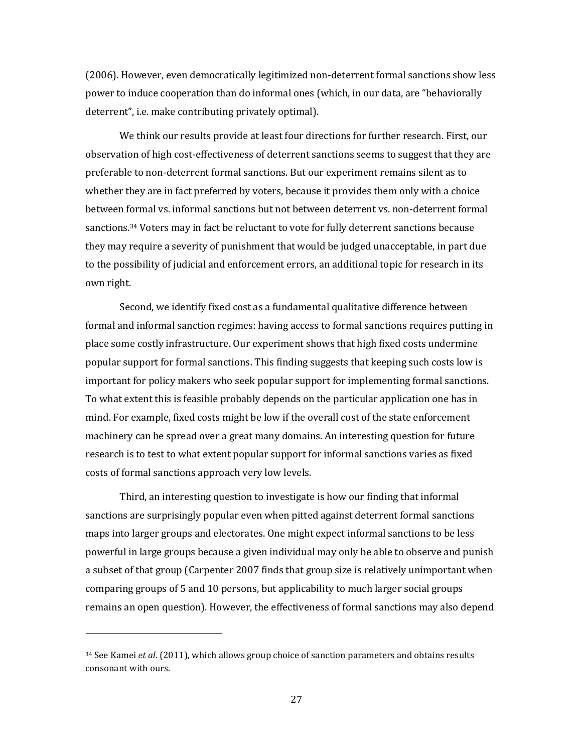(2006). However, even democratically legitimized non-deterrent formal sanctions show less power to induce cooperation than do informal ones (which, in our data, are "behaviorally deterrent", i.e. make contributing privately optimal).

We think our results provide at least four directions for further research. First, our observation of high cost-effectiveness of deterrent sanctions seems to suggest that they are preferable to non-deterrent formal sanctions. But our experiment remains silent as to whether they are in fact preferred by voters, because it provides them only with a choice between formal vs. informal sanctions but not between deterrent vs. non-deterrent formal sanctions.<sup>34</sup> Voters may in fact be reluctant to vote for fully deterrent sanctions because they may require a severity of punishment that would be judged unacceptable, in part due to the possibility of judicial and enforcement errors, an additional topic for research in its own right.

Second, we identify fixed cost as a fundamental qualitative difference between formal and informal sanction regimes: having access to formal sanctions requires putting in place some costly infrastructure. Our experiment shows that high fixed costs undermine popular support for formal sanctions. This finding suggests that keeping such costs low is important for policy makers who seek popular support for implementing formal sanctions. To what extent this is feasible probably depends on the particular application one has in mind. For example, fixed costs might be low if the overall cost of the state enforcement machinery can be spread over a great many domains. An interesting question for future research is to test to what extent popular support for informal sanctions varies as fixed costs of formal sanctions approach very low levels.

Third, an interesting question to investigate is how our finding that informal sanctions are surprisingly popular even when pitted against deterrent formal sanctions maps into larger groups and electorates. One might expect informal sanctions to be less powerful in large groups because a given individual may only be able to observe and punish a subset of that group (Carpenter 2007 finds that group size is relatively unimportant when comparing groups of 5 and 10 persons, but applicability to much larger social groups remains an open question). However, the effectiveness of formal sanctions may also depend

<sup>34</sup> See Kamei *et al*. (2011), which allows group choice of sanction parameters and obtains results consonant with ours.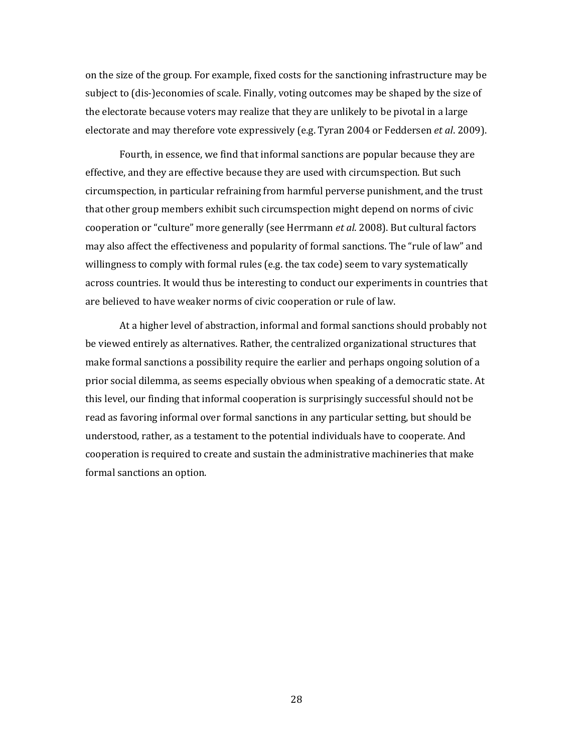on the size of the group. For example, fixed costs for the sanctioning infrastructure may be subject to (dis-)economies of scale. Finally, voting outcomes may be shaped by the size of the electorate because voters may realize that they are unlikely to be pivotal in a large electorate and may therefore vote expressively (e.g. Tyran 2004 or Feddersen *et al*. 2009).

Fourth, in essence, we find that informal sanctions are popular because they are effective, and they are effective because they are used with circumspection. But such circumspection, in particular refraining from harmful perverse punishment, and the trust that other group members exhibit such circumspection might depend on norms of civic cooperation or "culture" more generally (see Herrmann *et al*. 2008). But cultural factors may also affect the effectiveness and popularity of formal sanctions. The "rule of law" and willingness to comply with formal rules (e.g. the tax code) seem to vary systematically across countries. It would thus be interesting to conduct our experiments in countries that are believed to have weaker norms of civic cooperation or rule of law.

At a higher level of abstraction, informal and formal sanctions should probably not be viewed entirely as alternatives. Rather, the centralized organizational structures that make formal sanctions a possibility require the earlier and perhaps ongoing solution of a prior social dilemma, as seems especially obvious when speaking of a democratic state. At this level, our finding that informal cooperation is surprisingly successful should not be read as favoring informal over formal sanctions in any particular setting, but should be understood, rather, as a testament to the potential individuals have to cooperate. And cooperation is required to create and sustain the administrative machineries that make formal sanctions an option.

28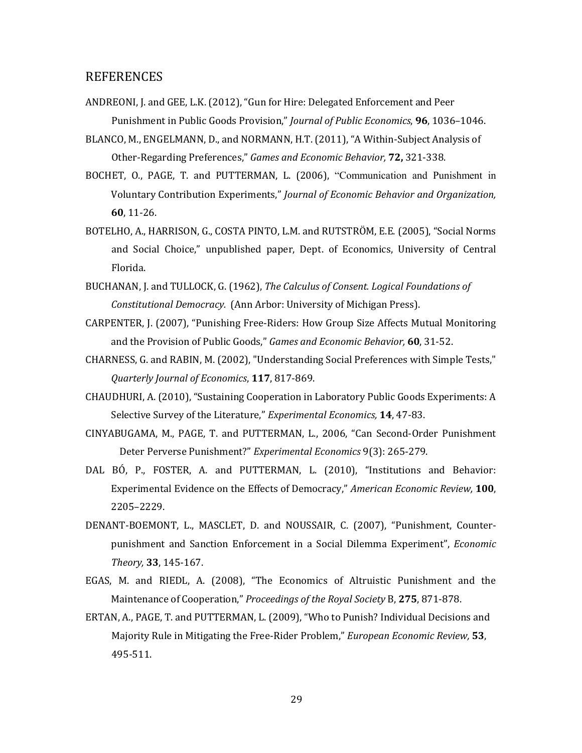## REFERENCES

- ANDREONI, J. and GEE, L.K. (2012), "Gun for Hire: Delegated Enforcement and Peer Punishment in Public Goods Provision," *Journal of Public Economics*, **96**, 1036–1046.
- BLANCO, M., ENGELMANN, D., and NORMANN, H.T. (2011), "A Within-Subject Analysis of Other-Regarding Preferences," *Games and Economic Behavior,* **72,** 321-338.
- BOCHET, O., PAGE, T. and PUTTERMAN, L. (2006), "Communication and Punishment in Voluntary Contribution Experiments," *Journal of Economic Behavior and Organization,*  **60**, 11-26.
- BOTELHO, A., HARRISON, G., COSTA PINTO, L.M. and RUTSTRÖM, E.E. (2005), "Social Norms and Social Choice," unpublished paper, Dept. of Economics, University of Central Florida.
- BUCHANAN, J. and TULLOCK, G. (1962), *The Calculus of Consent. Logical Foundations of Constitutional Democracy.* (Ann Arbor: University of Michigan Press).
- CARPENTER, J. (2007), "Punishing Free-Riders: How Group Size Affects Mutual Monitoring and the Provision of Public Goods," *Games and Economic Behavior,* **60**, 31-52.
- CHARNESS, G. and RABIN, M. (2002), "Understanding Social Preferences with Simple Tests," *Quarterly Journal of Economics*, **117**, 817-869.
- CHAUDHURI, A. (2010), "Sustaining Cooperation in Laboratory Public Goods Experiments: A Selective Survey of the Literature," *Experimental Economics,* **14**, 47-83.
- CINYABUGAMA, M., PAGE, T. and PUTTERMAN, L., 2006, "Can Second-Order Punishment Deter Perverse Punishment?" *Experimental Economics* 9(3): 265-279.
- DAL BÓ, P., FOSTER, A. and PUTTERMAN, L. (2010), "Institutions and Behavior: Experimental Evidence on the Effects of Democracy," *American Economic Review,* **100**, 2205–2229.
- DENANT-BOEMONT, L., MASCLET, D. and NOUSSAIR, C. (2007), "Punishment, Counterpunishment and Sanction Enforcement in a Social Dilemma Experiment", *Economic Theory,* **33**, 145-167.
- EGAS, M. and RIEDL, A. (2008), "The Economics of Altruistic Punishment and the Maintenance of Cooperation," *Proceedings of the Royal Society* B, **275**, 871-878.
- ERTAN, A., PAGE, T. and PUTTERMAN, L. (2009), "Who to Punish? Individual Decisions and Majority Rule in Mitigating the Free-Rider Problem," *European Economic Review,* **53**, 495-511.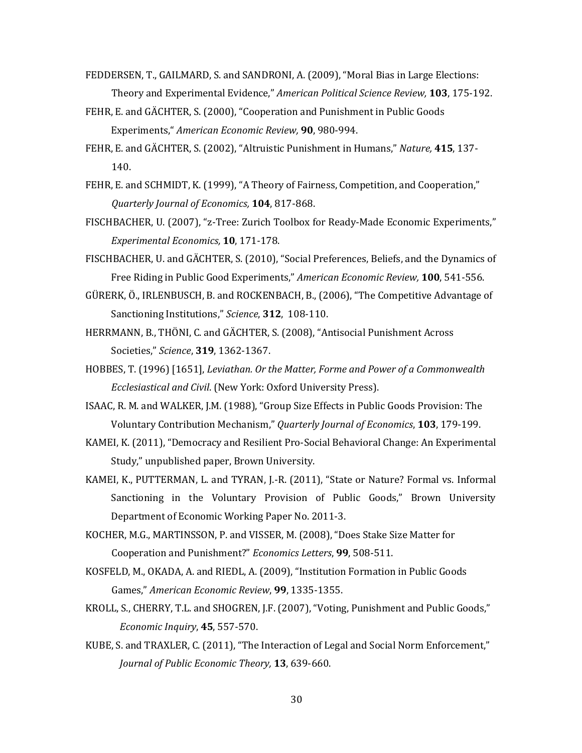- FEDDERSEN, T., GAILMARD, S. and SANDRONI, A. (2009), "Moral Bias in Large Elections: Theory and Experimental Evidence," *American Political Science Review,* **103**, 175-192.
- FEHR, E. and GÄCHTER, S. (2000), "Cooperation and Punishment in Public Goods Experiments," *American Economic Review,* **90**, 980-994.
- FEHR, E. and GÄCHTER, S. (2002), "Altruistic Punishment in Humans," *Nature,* **415**, 137- 140.
- FEHR, E. and SCHMIDT, K. (1999), "A Theory of Fairness, Competition, and Cooperation," *Quarterly Journal of Economics,* **104**, 817-868.
- FISCHBACHER, U. (2007), "z-Tree: Zurich Toolbox for Ready-Made Economic Experiments," *Experimental Economics,* **10**, 171-178.
- FISCHBACHER, U. and GÄCHTER, S. (2010), "Social Preferences, Beliefs, and the Dynamics of Free Riding in Public Good Experiments," *American Economic Review,* **100**, 541-556.
- GÜRERK, Ö., IRLENBUSCH, B. and ROCKENBACH, B., (2006), "The Competitive Advantage of Sanctioning Institutions," *Science*, **312**, 108-110.
- HERRMANN, B., THÖNI, C. and GÄCHTER, S. (2008), "Antisocial Punishment Across Societies," *Science*, **319**, 1362-1367.
- HOBBES, T. (1996) [1651], *Leviathan. Or the Matter, Forme and Power of a Commonwealth Ecclesiastical and Civil*. (New York: Oxford University Press).
- ISAAC, R. M. and WALKER, J.M. (1988), "Group Size Effects in Public Goods Provision: The Voluntary Contribution Mechanism," *Quarterly Journal of Economics*, **103**, 179-199.
- KAMEI, K. (2011), "Democracy and Resilient Pro-Social Behavioral Change: An Experimental Study," unpublished paper, Brown University.
- KAMEI, K., PUTTERMAN, L. and TYRAN, J.-R. (2011), "State or Nature? Formal vs. Informal Sanctioning in the Voluntary Provision of Public Goods," Brown University Department of Economic Working Paper No. 2011-3.
- KOCHER, M.G., MARTINSSON, P. and VISSER, M. (2008), "Does Stake Size Matter for Cooperation and Punishment?" *Economics Letters*, **99**, 508-511.
- KOSFELD, M., OKADA, A. and RIEDL, A. (2009), "Institution Formation in Public Goods Games," *American Economic Review*, **99**, 1335-1355.
- KROLL, S., CHERRY, T.L. and SHOGREN, J.F. (2007), "Voting, Punishment and Public Goods," *Economic Inquiry*, **45**, 557-570.
- KUBE, S. and TRAXLER, C. (2011), "The Interaction of Legal and Social Norm Enforcement," *Journal of Public Economic Theory,* **13**, 639-660.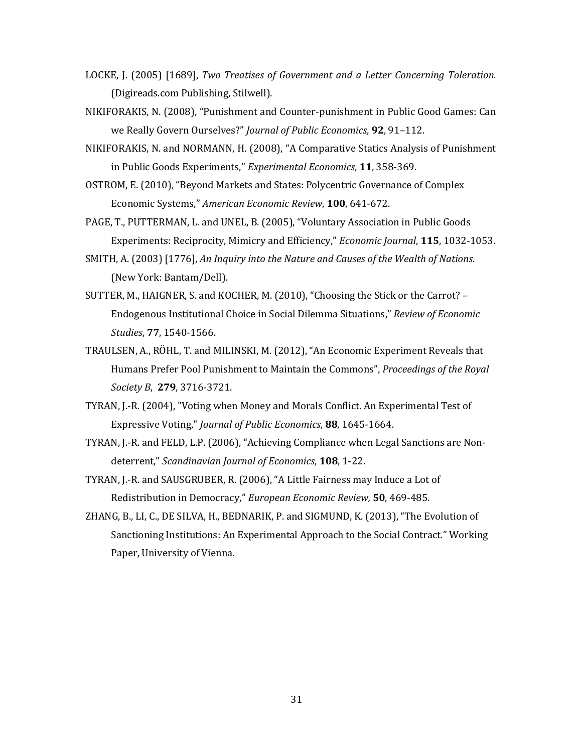- LOCKE, J. (2005) [1689], *Two Treatises of Government and a Letter Concerning Toleration.* (Digireads.com Publishing, Stilwell).
- NIKIFORAKIS, N. (2008), "Punishment and Counter-punishment in Public Good Games: Can we Really Govern Ourselves?" *Journal of Public Economics*, **92**, 91–112.
- NIKIFORAKIS, N. and NORMANN, H. (2008), "A Comparative Statics Analysis of Punishment in Public Goods Experiments," *Experimental Economics*, **11**, 358-369.
- OSTROM, E. (2010), "Beyond Markets and States: Polycentric Governance of Complex Economic Systems," *American Economic Review*, **100**, 641-672.
- PAGE, T., PUTTERMAN, L. and UNEL, B. (2005), "Voluntary Association in Public Goods Experiments: Reciprocity, Mimicry and Efficiency," *Economic Journal*, **115**, 1032-1053.
- SMITH, A. (2003) [1776], *An Inquiry into the Nature and Causes of the Wealth of Nations*. (New York: Bantam/Dell).
- SUTTER, M., HAIGNER, S. and KOCHER, M. (2010), "Choosing the Stick or the Carrot? Endogenous Institutional Choice in Social Dilemma Situations," *Review of Economic Studies*, **77**, 1540-1566.
- TRAULSEN, A., RÖHL, T. and MILINSKI, M. (2012), "An Economic Experiment Reveals that Humans Prefer Pool Punishment to Maintain the Commons", *Proceedings of the Royal Society B*, **279**, 3716-3721.
- TYRAN, J.-R. (2004), "Voting when Money and Morals Conflict. An Experimental Test of Expressive Voting," *Journal of Public Economics*, **88**, 1645-1664.
- TYRAN, J.-R. and FELD, L.P. (2006), "Achieving Compliance when Legal Sanctions are Nondeterrent," *Scandinavian Journal of Economics*, **108**, 1-22.
- TYRAN, J.-R. and SAUSGRUBER, R. (2006), "A Little Fairness may Induce a Lot of Redistribution in Democracy," *European Economic Review,* **50**, 469-485.
- ZHANG, B., LI, C., DE SILVA, H., BEDNARIK, P. and SIGMUND, K. (2013), "The Evolution of Sanctioning Institutions: An Experimental Approach to the Social Contract." Working Paper, University of Vienna.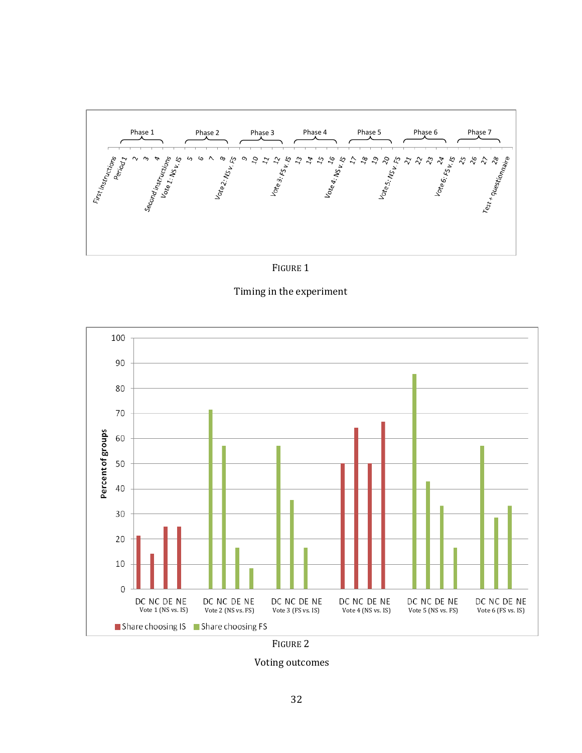



Timing in the experiment



FIGURE 2

Voting outcomes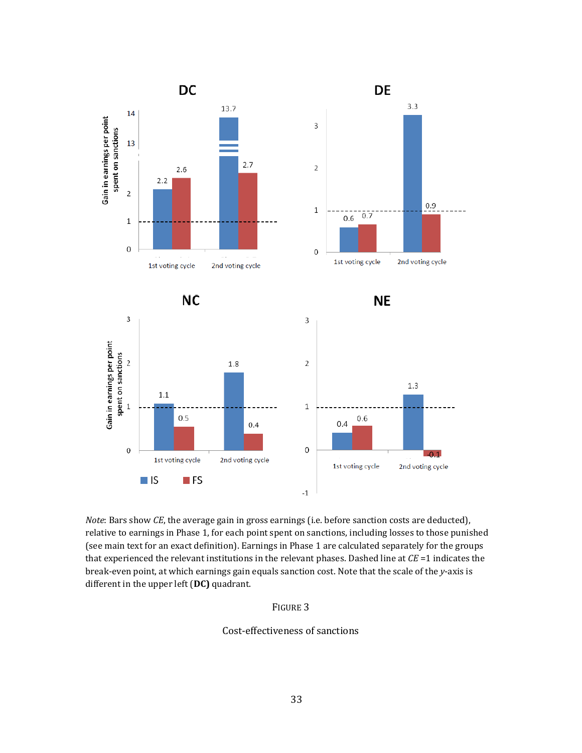

*Note*: Bars show *CE*, the average gain in gross earnings (i.e. before sanction costs are deducted), relative to earnings in Phase 1, for each point spent on sanctions, including losses to those punished (see main text for an exact definition). Earnings in Phase 1 are calculated separately for the groups that experienced the relevant institutions in the relevant phases. Dashed line at *CE* =1 indicates the break-even point, at which earnings gain equals sanction cost. Note that the scale of the *y*-axis is different in the upper left (**DC)** quadrant.

#### FIGURE 3

#### Cost-effectiveness of sanctions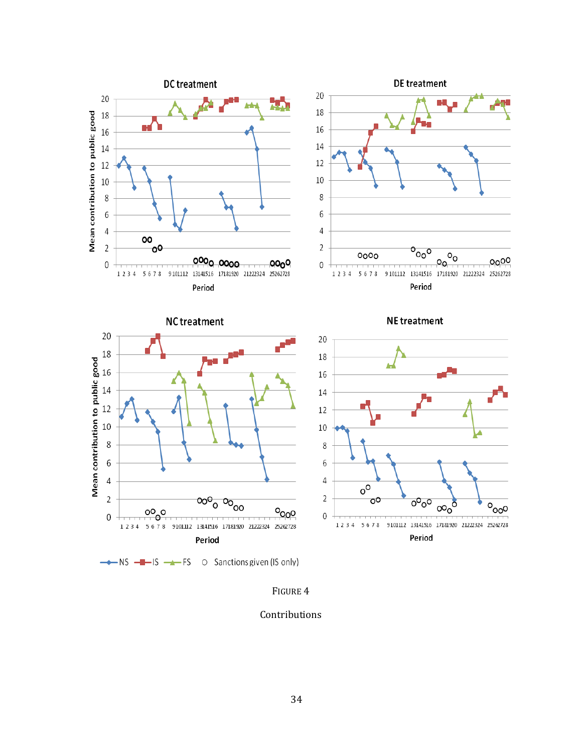

 $\rightarrow$  NS  $\rightarrow$  IS  $\rightarrow$  FS  $\circ$  Sanctions given (IS only)

FIGURE 4

Contributions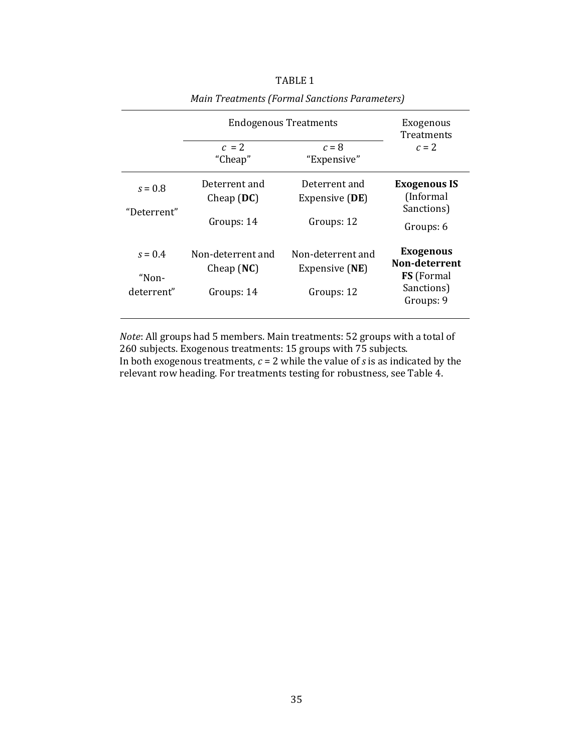|                                  | <b>Endogenous Treatments</b>                    | Exogenous<br>Treatments                           |                                                                                   |  |
|----------------------------------|-------------------------------------------------|---------------------------------------------------|-----------------------------------------------------------------------------------|--|
|                                  | $c = 2$<br>"Cheap"                              | $c = 8$<br>"Expensive"                            | $c=2$                                                                             |  |
| $s = 0.8$<br>"Deterrent"         | Deterrent and<br>Cheap $(DC)$<br>Groups: 14     | Deterrent and<br>Expensive (DE)<br>Groups: 12     | <b>Exogenous IS</b><br>(Informal)<br>Sanctions)<br>Groups: 6                      |  |
| $s = 0.4$<br>"Non-<br>deterrent" | Non-deterrent and<br>Cheap $(NC)$<br>Groups: 14 | Non-deterrent and<br>Expensive (NE)<br>Groups: 12 | <b>Exogenous</b><br>Non-deterrent<br><b>FS</b> (Formal<br>Sanctions)<br>Groups: 9 |  |

TABLE 1 *Main Treatments (Formal Sanctions Parameters)*

*Note*: All groups had 5 members. Main treatments: 52 groups with a total of 260 subjects. Exogenous treatments: 15 groups with 75 subjects. In both exogenous treatments,  $c = 2$  while the value of *s* is as indicated by the relevant row heading. For treatments testing for robustness, see Table 4.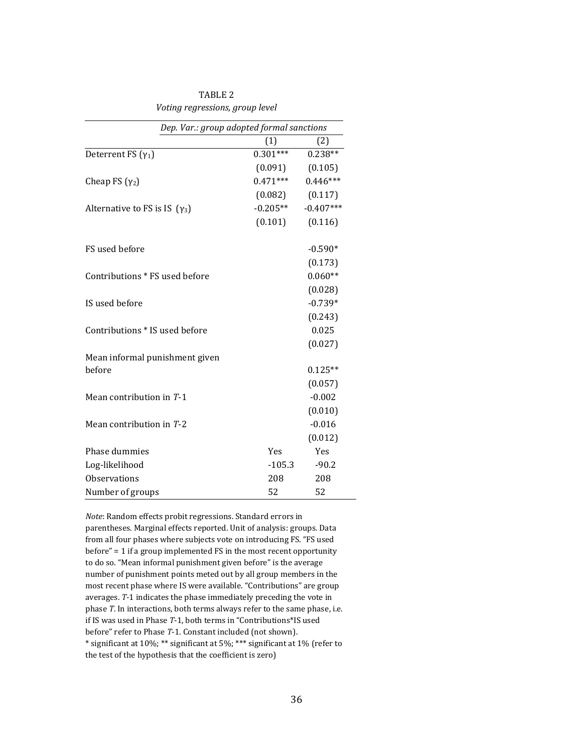| Dep. Var.: group adopted formal sanctions |            |             |
|-------------------------------------------|------------|-------------|
|                                           | (1)        | (2)         |
| Deterrent FS $(\gamma_1)$                 | $0.301***$ | $0.238**$   |
|                                           | (0.091)    | (0.105)     |
| Cheap FS $(\gamma_2)$                     | $0.471***$ | $0.446***$  |
|                                           | (0.082)    | (0.117)     |
| Alternative to FS is IS $(\gamma_3)$      | $-0.205**$ | $-0.407***$ |
|                                           | (0.101)    | (0.116)     |
| FS used before                            |            | $-0.590*$   |
|                                           |            | (0.173)     |
| Contributions * FS used before            |            | $0.060**$   |
|                                           |            | (0.028)     |
| IS used before                            |            | $-0.739*$   |
|                                           |            | (0.243)     |
| Contributions * IS used before            |            | 0.025       |
|                                           |            | (0.027)     |
| Mean informal punishment given            |            |             |
| before                                    |            | $0.125**$   |
|                                           |            | (0.057)     |
| Mean contribution in $T-1$                |            | $-0.002$    |
|                                           |            | (0.010)     |
| Mean contribution in T-2                  |            | $-0.016$    |
|                                           |            | (0.012)     |
| Phase dummies                             | Yes        | Yes         |
| Log-likelihood                            | $-105.3$   | $-90.2$     |
| <b>Observations</b>                       | 208        | 208         |
| Number of groups                          | 52         | 52          |

TABLE 2 *Voting regressions, group level*

*Note*: Random effects probit regressions. Standard errors in parentheses. Marginal effects reported. Unit of analysis: groups. Data from all four phases where subjects vote on introducing FS. "FS used before" = 1 if a group implemented FS in the most recent opportunity to do so. "Mean informal punishment given before" is the average number of punishment points meted out by all group members in the most recent phase where IS were available. "Contributions" are group averages. *T*-1 indicates the phase immediately preceding the vote in phase *T*. In interactions, both terms always refer to the same phase, i.e. if IS was used in Phase *T*-1, both terms in "Contributions\*IS used before" refer to Phase *T*-1. Constant included (not shown). \* significant at 10%; \*\* significant at 5%; \*\*\* significant at 1% (refer to the test of the hypothesis that the coefficient is zero)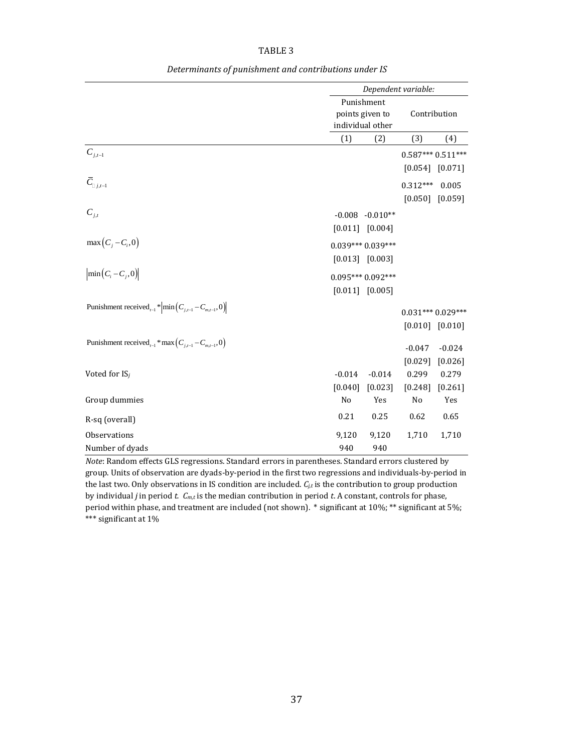| BL<br>٠. |  |
|----------|--|
|----------|--|

|                                                                                                    | Dependent variable: |                                                   |                     |          |  |
|----------------------------------------------------------------------------------------------------|---------------------|---------------------------------------------------|---------------------|----------|--|
|                                                                                                    |                     | Punishment<br>points given to<br>individual other | Contribution        |          |  |
|                                                                                                    | (1)                 | (2)                                               | (3)                 | (4)      |  |
| $\boldsymbol{C}_{j,t-1}$                                                                           |                     |                                                   | $0.587***0.511***$  |          |  |
|                                                                                                    |                     |                                                   | $[0.054]$ $[0.071]$ |          |  |
| $\bar{C}_{\Box\, j.t-1}$                                                                           |                     |                                                   | $0.312***$          | 0.005    |  |
|                                                                                                    |                     |                                                   | [0.050]             | [0.059]  |  |
| $C_{j,t}$                                                                                          |                     | $-0.008$ $-0.010**$                               |                     |          |  |
|                                                                                                    |                     | $[0.011]$ $[0.004]$                               |                     |          |  |
| $max(C_j - C_i, 0)$                                                                                |                     | $0.039***0.039***$                                |                     |          |  |
|                                                                                                    |                     | $[0.013]$ $[0.003]$                               |                     |          |  |
| $\left \min\left(C_i - C_j, 0\right)\right $                                                       |                     | $0.095***0.092***$                                |                     |          |  |
|                                                                                                    |                     | $[0.011]$ $[0.005]$                               |                     |          |  |
| Punishment received <sub>t-1</sub> * $\left  \min \left( C_{i,t-1} - C_{m,t-1}, 0 \right) \right $ |                     |                                                   | $0.031***0.029***$  |          |  |
|                                                                                                    |                     |                                                   | $[0.010]$ $[0.010]$ |          |  |
| Punishment received <sub>t-1</sub> * max $(C_{j,t-1} - C_{m,t-1}, 0)$                              |                     |                                                   | $-0.047$            | $-0.024$ |  |
|                                                                                                    |                     |                                                   | [0.029]             | [0.026]  |  |
| Voted for $IS_j$                                                                                   | $-0.014$            | $-0.014$                                          | 0.299               | 0.279    |  |
|                                                                                                    | [0.040]             | [0.023]                                           | [0.248]             | [0.261]  |  |
| Group dummies                                                                                      | No                  | Yes                                               | No                  | Yes      |  |
| R-sq (overall)                                                                                     | 0.21                | 0.25                                              | 0.62                | 0.65     |  |
| Observations                                                                                       | 9,120               | 9,120                                             | 1,710               | 1,710    |  |
| Number of dyads                                                                                    | 940                 | 940                                               |                     |          |  |

*Determinants of punishment and contributions under IS*

*Note*: Random effects GLS regressions. Standard errors in parentheses. Standard errors clustered by group. Units of observation are dyads-by-period in the first two regressions and individuals-by-period in the last two. Only observations in IS condition are included.  $C_i$ , is the contribution to group production by individual *j* in period *t. Cm,t* is the median contribution in period *t*. A constant, controls for phase, period within phase, and treatment are included (not shown).  $*$  significant at 10%;  $**$  significant at 5%; \*\*\* significant at 1%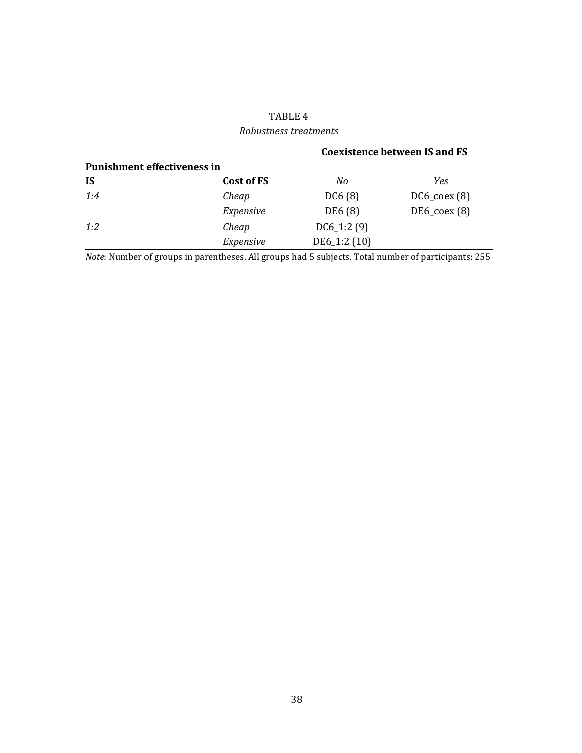|                                    | <b>Coexistence between IS and FS</b> |              |                             |  |  |  |  |
|------------------------------------|--------------------------------------|--------------|-----------------------------|--|--|--|--|
| <b>Punishment effectiveness in</b> |                                      |              |                             |  |  |  |  |
| <b>IS</b>                          | Cost of FS                           | No           | Yes                         |  |  |  |  |
| 1:4                                | Cheap                                | DC6(8)       | $DC6$ <sub>coex</sub> $(8)$ |  |  |  |  |
|                                    | Expensive                            | DE6 (8)      | $DE6$ <sub>coex</sub> $(8)$ |  |  |  |  |
| 1:2                                | Cheap                                | $DC6_1:2(9)$ |                             |  |  |  |  |
|                                    | Expensive                            | DE6_1:2 (10) |                             |  |  |  |  |

TABLE 4 *Robustness treatments*

*Note*: Number of groups in parentheses. All groups had 5 subjects. Total number of participants: 255